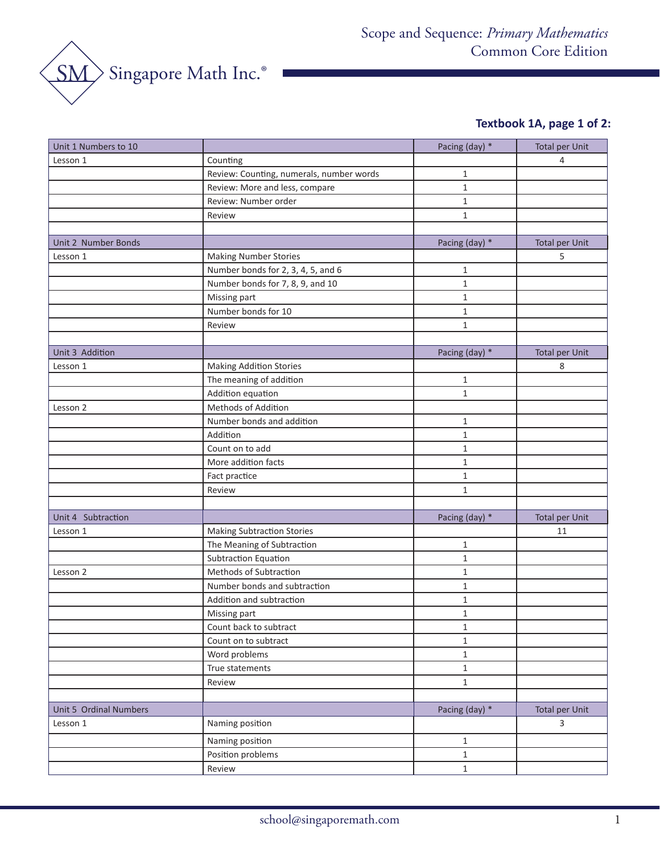

# **Textbook 1A, page 1 of 2:**

| Lesson 1<br>Counting<br>4<br>Review: Counting, numerals, number words<br>$\mathbf{1}$<br>Review: More and less, compare<br>$\mathbf{1}$<br>Review: Number order<br>$\mathbf{1}$<br>$\mathbf{1}$<br>Review<br>Pacing (day) *<br><b>Total per Unit</b><br>Unit 2 Number Bonds<br><b>Making Number Stories</b><br>5<br>Lesson 1<br>$\mathbf{1}$<br>Number bonds for 2, 3, 4, 5, and 6<br>Number bonds for 7, 8, 9, and 10<br>$\mathbf{1}$<br>$\mathbf{1}$<br>Missing part<br>Number bonds for 10<br>$\mathbf{1}$<br>$\mathbf{1}$<br>Review<br>Unit 3 Addition<br>Pacing (day) *<br><b>Total per Unit</b><br><b>Making Addition Stories</b><br>8<br>Lesson 1<br>The meaning of addition<br>$\mathbf{1}$<br>Addition equation<br>$\mathbf{1}$<br>Methods of Addition<br>Lesson 2<br>Number bonds and addition<br>$\mathbf{1}$<br>Addition<br>$\mathbf{1}$<br>Count on to add<br>$\mathbf{1}$<br>More addition facts<br>$\mathbf{1}$<br>Fact practice<br>$\mathbf{1}$<br>$\mathbf 1$<br>Review<br><b>Total per Unit</b><br>Unit 4 Subtraction<br>Pacing (day) *<br><b>Making Subtraction Stories</b><br>Lesson 1<br>11<br>The Meaning of Subtraction<br>$\mathbf{1}$<br>Subtraction Equation<br>$\mathbf{1}$<br>Methods of Subtraction<br>Lesson 2<br>$\mathbf{1}$<br>Number bonds and subtraction<br>$\mathbf{1}$<br>Addition and subtraction<br>$\mathbf{1}$<br>$\mathbf{1}$<br>Missing part | Unit 1 Numbers to 10 | Pacing (day) * | <b>Total per Unit</b> |
|------------------------------------------------------------------------------------------------------------------------------------------------------------------------------------------------------------------------------------------------------------------------------------------------------------------------------------------------------------------------------------------------------------------------------------------------------------------------------------------------------------------------------------------------------------------------------------------------------------------------------------------------------------------------------------------------------------------------------------------------------------------------------------------------------------------------------------------------------------------------------------------------------------------------------------------------------------------------------------------------------------------------------------------------------------------------------------------------------------------------------------------------------------------------------------------------------------------------------------------------------------------------------------------------------------------------------------------------------------------------------------------|----------------------|----------------|-----------------------|
|                                                                                                                                                                                                                                                                                                                                                                                                                                                                                                                                                                                                                                                                                                                                                                                                                                                                                                                                                                                                                                                                                                                                                                                                                                                                                                                                                                                          |                      |                |                       |
|                                                                                                                                                                                                                                                                                                                                                                                                                                                                                                                                                                                                                                                                                                                                                                                                                                                                                                                                                                                                                                                                                                                                                                                                                                                                                                                                                                                          |                      |                |                       |
|                                                                                                                                                                                                                                                                                                                                                                                                                                                                                                                                                                                                                                                                                                                                                                                                                                                                                                                                                                                                                                                                                                                                                                                                                                                                                                                                                                                          |                      |                |                       |
|                                                                                                                                                                                                                                                                                                                                                                                                                                                                                                                                                                                                                                                                                                                                                                                                                                                                                                                                                                                                                                                                                                                                                                                                                                                                                                                                                                                          |                      |                |                       |
|                                                                                                                                                                                                                                                                                                                                                                                                                                                                                                                                                                                                                                                                                                                                                                                                                                                                                                                                                                                                                                                                                                                                                                                                                                                                                                                                                                                          |                      |                |                       |
|                                                                                                                                                                                                                                                                                                                                                                                                                                                                                                                                                                                                                                                                                                                                                                                                                                                                                                                                                                                                                                                                                                                                                                                                                                                                                                                                                                                          |                      |                |                       |
|                                                                                                                                                                                                                                                                                                                                                                                                                                                                                                                                                                                                                                                                                                                                                                                                                                                                                                                                                                                                                                                                                                                                                                                                                                                                                                                                                                                          |                      |                |                       |
|                                                                                                                                                                                                                                                                                                                                                                                                                                                                                                                                                                                                                                                                                                                                                                                                                                                                                                                                                                                                                                                                                                                                                                                                                                                                                                                                                                                          |                      |                |                       |
|                                                                                                                                                                                                                                                                                                                                                                                                                                                                                                                                                                                                                                                                                                                                                                                                                                                                                                                                                                                                                                                                                                                                                                                                                                                                                                                                                                                          |                      |                |                       |
|                                                                                                                                                                                                                                                                                                                                                                                                                                                                                                                                                                                                                                                                                                                                                                                                                                                                                                                                                                                                                                                                                                                                                                                                                                                                                                                                                                                          |                      |                |                       |
|                                                                                                                                                                                                                                                                                                                                                                                                                                                                                                                                                                                                                                                                                                                                                                                                                                                                                                                                                                                                                                                                                                                                                                                                                                                                                                                                                                                          |                      |                |                       |
|                                                                                                                                                                                                                                                                                                                                                                                                                                                                                                                                                                                                                                                                                                                                                                                                                                                                                                                                                                                                                                                                                                                                                                                                                                                                                                                                                                                          |                      |                |                       |
|                                                                                                                                                                                                                                                                                                                                                                                                                                                                                                                                                                                                                                                                                                                                                                                                                                                                                                                                                                                                                                                                                                                                                                                                                                                                                                                                                                                          |                      |                |                       |
|                                                                                                                                                                                                                                                                                                                                                                                                                                                                                                                                                                                                                                                                                                                                                                                                                                                                                                                                                                                                                                                                                                                                                                                                                                                                                                                                                                                          |                      |                |                       |
|                                                                                                                                                                                                                                                                                                                                                                                                                                                                                                                                                                                                                                                                                                                                                                                                                                                                                                                                                                                                                                                                                                                                                                                                                                                                                                                                                                                          |                      |                |                       |
|                                                                                                                                                                                                                                                                                                                                                                                                                                                                                                                                                                                                                                                                                                                                                                                                                                                                                                                                                                                                                                                                                                                                                                                                                                                                                                                                                                                          |                      |                |                       |
|                                                                                                                                                                                                                                                                                                                                                                                                                                                                                                                                                                                                                                                                                                                                                                                                                                                                                                                                                                                                                                                                                                                                                                                                                                                                                                                                                                                          |                      |                |                       |
|                                                                                                                                                                                                                                                                                                                                                                                                                                                                                                                                                                                                                                                                                                                                                                                                                                                                                                                                                                                                                                                                                                                                                                                                                                                                                                                                                                                          |                      |                |                       |
|                                                                                                                                                                                                                                                                                                                                                                                                                                                                                                                                                                                                                                                                                                                                                                                                                                                                                                                                                                                                                                                                                                                                                                                                                                                                                                                                                                                          |                      |                |                       |
|                                                                                                                                                                                                                                                                                                                                                                                                                                                                                                                                                                                                                                                                                                                                                                                                                                                                                                                                                                                                                                                                                                                                                                                                                                                                                                                                                                                          |                      |                |                       |
|                                                                                                                                                                                                                                                                                                                                                                                                                                                                                                                                                                                                                                                                                                                                                                                                                                                                                                                                                                                                                                                                                                                                                                                                                                                                                                                                                                                          |                      |                |                       |
|                                                                                                                                                                                                                                                                                                                                                                                                                                                                                                                                                                                                                                                                                                                                                                                                                                                                                                                                                                                                                                                                                                                                                                                                                                                                                                                                                                                          |                      |                |                       |
|                                                                                                                                                                                                                                                                                                                                                                                                                                                                                                                                                                                                                                                                                                                                                                                                                                                                                                                                                                                                                                                                                                                                                                                                                                                                                                                                                                                          |                      |                |                       |
|                                                                                                                                                                                                                                                                                                                                                                                                                                                                                                                                                                                                                                                                                                                                                                                                                                                                                                                                                                                                                                                                                                                                                                                                                                                                                                                                                                                          |                      |                |                       |
|                                                                                                                                                                                                                                                                                                                                                                                                                                                                                                                                                                                                                                                                                                                                                                                                                                                                                                                                                                                                                                                                                                                                                                                                                                                                                                                                                                                          |                      |                |                       |
|                                                                                                                                                                                                                                                                                                                                                                                                                                                                                                                                                                                                                                                                                                                                                                                                                                                                                                                                                                                                                                                                                                                                                                                                                                                                                                                                                                                          |                      |                |                       |
|                                                                                                                                                                                                                                                                                                                                                                                                                                                                                                                                                                                                                                                                                                                                                                                                                                                                                                                                                                                                                                                                                                                                                                                                                                                                                                                                                                                          |                      |                |                       |
|                                                                                                                                                                                                                                                                                                                                                                                                                                                                                                                                                                                                                                                                                                                                                                                                                                                                                                                                                                                                                                                                                                                                                                                                                                                                                                                                                                                          |                      |                |                       |
|                                                                                                                                                                                                                                                                                                                                                                                                                                                                                                                                                                                                                                                                                                                                                                                                                                                                                                                                                                                                                                                                                                                                                                                                                                                                                                                                                                                          |                      |                |                       |
|                                                                                                                                                                                                                                                                                                                                                                                                                                                                                                                                                                                                                                                                                                                                                                                                                                                                                                                                                                                                                                                                                                                                                                                                                                                                                                                                                                                          |                      |                |                       |
|                                                                                                                                                                                                                                                                                                                                                                                                                                                                                                                                                                                                                                                                                                                                                                                                                                                                                                                                                                                                                                                                                                                                                                                                                                                                                                                                                                                          |                      |                |                       |
|                                                                                                                                                                                                                                                                                                                                                                                                                                                                                                                                                                                                                                                                                                                                                                                                                                                                                                                                                                                                                                                                                                                                                                                                                                                                                                                                                                                          |                      |                |                       |
|                                                                                                                                                                                                                                                                                                                                                                                                                                                                                                                                                                                                                                                                                                                                                                                                                                                                                                                                                                                                                                                                                                                                                                                                                                                                                                                                                                                          |                      |                |                       |
|                                                                                                                                                                                                                                                                                                                                                                                                                                                                                                                                                                                                                                                                                                                                                                                                                                                                                                                                                                                                                                                                                                                                                                                                                                                                                                                                                                                          |                      |                |                       |
| Count back to subtract<br>$\mathbf{1}$                                                                                                                                                                                                                                                                                                                                                                                                                                                                                                                                                                                                                                                                                                                                                                                                                                                                                                                                                                                                                                                                                                                                                                                                                                                                                                                                                   |                      |                |                       |
| Count on to subtract<br>$\mathbf{1}$                                                                                                                                                                                                                                                                                                                                                                                                                                                                                                                                                                                                                                                                                                                                                                                                                                                                                                                                                                                                                                                                                                                                                                                                                                                                                                                                                     |                      |                |                       |
| Word problems<br>$\mathbf 1$                                                                                                                                                                                                                                                                                                                                                                                                                                                                                                                                                                                                                                                                                                                                                                                                                                                                                                                                                                                                                                                                                                                                                                                                                                                                                                                                                             |                      |                |                       |
| True statements<br>$\mathbf{1}$                                                                                                                                                                                                                                                                                                                                                                                                                                                                                                                                                                                                                                                                                                                                                                                                                                                                                                                                                                                                                                                                                                                                                                                                                                                                                                                                                          |                      |                |                       |
| Review<br>$\mathbf{1}$                                                                                                                                                                                                                                                                                                                                                                                                                                                                                                                                                                                                                                                                                                                                                                                                                                                                                                                                                                                                                                                                                                                                                                                                                                                                                                                                                                   |                      |                |                       |
|                                                                                                                                                                                                                                                                                                                                                                                                                                                                                                                                                                                                                                                                                                                                                                                                                                                                                                                                                                                                                                                                                                                                                                                                                                                                                                                                                                                          |                      |                |                       |
| Pacing (day) *<br><b>Total per Unit</b><br>Unit 5 Ordinal Numbers                                                                                                                                                                                                                                                                                                                                                                                                                                                                                                                                                                                                                                                                                                                                                                                                                                                                                                                                                                                                                                                                                                                                                                                                                                                                                                                        |                      |                |                       |
| Naming position<br>3<br>Lesson 1                                                                                                                                                                                                                                                                                                                                                                                                                                                                                                                                                                                                                                                                                                                                                                                                                                                                                                                                                                                                                                                                                                                                                                                                                                                                                                                                                         |                      |                |                       |
| Naming position<br>$\mathbf{1}$                                                                                                                                                                                                                                                                                                                                                                                                                                                                                                                                                                                                                                                                                                                                                                                                                                                                                                                                                                                                                                                                                                                                                                                                                                                                                                                                                          |                      |                |                       |
| Position problems<br>$\mathbf 1$                                                                                                                                                                                                                                                                                                                                                                                                                                                                                                                                                                                                                                                                                                                                                                                                                                                                                                                                                                                                                                                                                                                                                                                                                                                                                                                                                         |                      |                |                       |
| Review<br>$\mathbf{1}$                                                                                                                                                                                                                                                                                                                                                                                                                                                                                                                                                                                                                                                                                                                                                                                                                                                                                                                                                                                                                                                                                                                                                                                                                                                                                                                                                                   |                      |                |                       |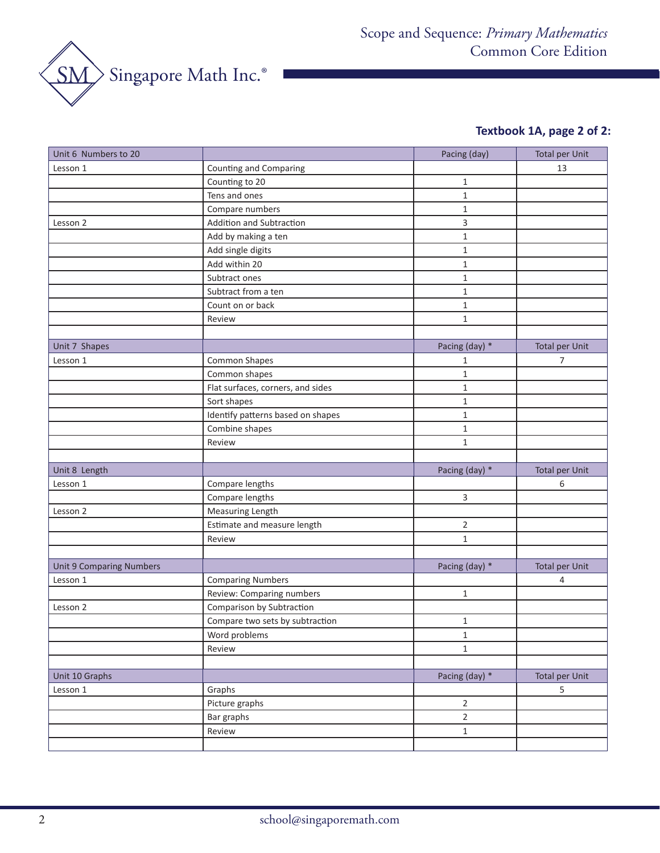

# **Textbook 1A, page 2 of 2:**

| Unit 6 Numbers to 20            |                                   | Pacing (day)   | <b>Total per Unit</b> |
|---------------------------------|-----------------------------------|----------------|-----------------------|
| Lesson 1                        | <b>Counting and Comparing</b>     |                | 13                    |
|                                 | Counting to 20                    | 1              |                       |
|                                 | Tens and ones                     | $\mathbf{1}$   |                       |
|                                 | Compare numbers                   | $\mathbf{1}$   |                       |
| Lesson 2                        | Addition and Subtraction          | 3              |                       |
|                                 | Add by making a ten               | $\mathbf{1}$   |                       |
|                                 | Add single digits                 | $1\,$          |                       |
|                                 | Add within 20                     | $\mathbf{1}$   |                       |
|                                 | Subtract ones                     | $1\,$          |                       |
|                                 | Subtract from a ten               | $1\,$          |                       |
|                                 | Count on or back                  | $\mathbf{1}$   |                       |
|                                 | Review                            | $\mathbf{1}$   |                       |
|                                 |                                   |                |                       |
| Unit 7 Shapes                   |                                   | Pacing (day) * | <b>Total per Unit</b> |
| Lesson 1                        | <b>Common Shapes</b>              | 1              | 7                     |
|                                 | Common shapes                     | 1              |                       |
|                                 | Flat surfaces, corners, and sides | $1\,$          |                       |
|                                 | Sort shapes                       | $\mathbf{1}$   |                       |
|                                 | Identify patterns based on shapes | $\mathbf{1}$   |                       |
|                                 | Combine shapes                    | $\mathbf{1}$   |                       |
|                                 | Review                            | $\mathbf{1}$   |                       |
|                                 |                                   |                |                       |
| Unit 8 Length                   |                                   | Pacing (day) * | <b>Total per Unit</b> |
| Lesson 1                        | Compare lengths                   |                | 6                     |
|                                 | Compare lengths                   | 3              |                       |
| Lesson 2                        | Measuring Length                  |                |                       |
|                                 | Estimate and measure length       | $\mathbf 2$    |                       |
|                                 | Review                            | $\mathbf{1}$   |                       |
|                                 |                                   |                |                       |
| <b>Unit 9 Comparing Numbers</b> |                                   | Pacing (day) * | <b>Total per Unit</b> |
| Lesson 1                        | <b>Comparing Numbers</b>          |                | 4                     |
|                                 | Review: Comparing numbers         | 1              |                       |
| Lesson 2                        | Comparison by Subtraction         |                |                       |
|                                 | Compare two sets by subtraction   | 1              |                       |
|                                 | Word problems                     | $\mathbf 1$    |                       |
|                                 | Review                            | $\mathbf{1}$   |                       |
|                                 |                                   |                |                       |
| Unit 10 Graphs                  |                                   | Pacing (day) * | <b>Total per Unit</b> |
| Lesson 1                        | Graphs                            |                | 5                     |
|                                 | Picture graphs                    | $\overline{2}$ |                       |
|                                 | Bar graphs                        | $\overline{2}$ |                       |
|                                 | Review                            | $\mathbf 1$    |                       |
|                                 |                                   |                |                       |
|                                 |                                   |                |                       |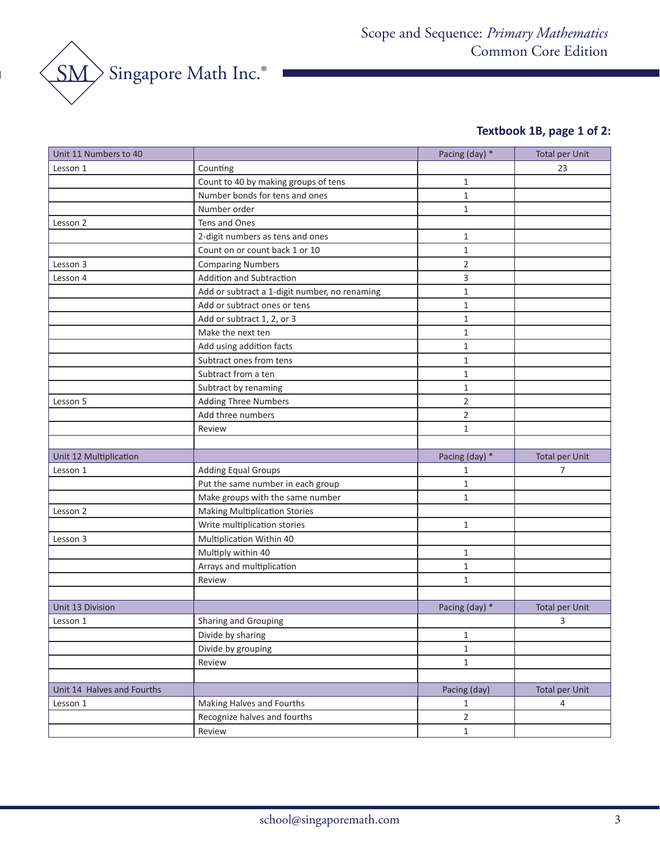

# **Textbook 1B, page 1 of 2:**

| Unit 11 Numbers to 40      |                                               | Pacing (day) * | <b>Total per Unit</b> |
|----------------------------|-----------------------------------------------|----------------|-----------------------|
| Lesson 1                   | Counting                                      |                | 23                    |
|                            | Count to 40 by making groups of tens          | $\mathbf{1}$   |                       |
|                            | Number bonds for tens and ones                | $\mathbf{1}$   |                       |
|                            | Number order                                  | $\mathbf{1}$   |                       |
| Lesson 2                   | Tens and Ones                                 |                |                       |
|                            | 2-digit numbers as tens and ones              | $\mathbf{1}$   |                       |
|                            | Count on or count back 1 or 10                | $\mathbf{1}$   |                       |
| Lesson 3                   | <b>Comparing Numbers</b>                      | 2              |                       |
| Lesson 4                   | <b>Addition and Subtraction</b>               | 3              |                       |
|                            | Add or subtract a 1-digit number, no renaming | $\mathbf{1}$   |                       |
|                            | Add or subtract ones or tens                  | $\mathbf{1}$   |                       |
|                            | Add or subtract 1, 2, or 3                    | $\mathbf{1}$   |                       |
|                            | Make the next ten                             | $\mathbf{1}$   |                       |
|                            | Add using addition facts                      | $\mathbf{1}$   |                       |
|                            | Subtract ones from tens                       | $\mathbf{1}$   |                       |
|                            | Subtract from a ten                           | $\mathbf{1}$   |                       |
|                            | Subtract by renaming                          | 1              |                       |
| Lesson 5                   | <b>Adding Three Numbers</b>                   | $\overline{2}$ |                       |
|                            | Add three numbers                             | $\overline{2}$ |                       |
|                            | Review                                        | $\mathbf{1}$   |                       |
|                            |                                               |                |                       |
| Unit 12 Multiplication     |                                               | Pacing (day) * | <b>Total per Unit</b> |
| Lesson 1                   | <b>Adding Equal Groups</b>                    | 1              | 7                     |
|                            | Put the same number in each group             | $\mathbf{1}$   |                       |
|                            | Make groups with the same number              | $\mathbf{1}$   |                       |
| Lesson 2                   | <b>Making Multiplication Stories</b>          |                |                       |
|                            | Write multiplication stories                  | $\mathbf{1}$   |                       |
| Lesson 3                   | Multiplication Within 40                      |                |                       |
|                            | Multiply within 40                            | $\mathbf{1}$   |                       |
|                            | Arrays and multiplication                     | $\mathbf{1}$   |                       |
|                            | Review                                        | $\mathbf{1}$   |                       |
|                            |                                               |                |                       |
| Unit 13 Division           |                                               | Pacing (day) * | <b>Total per Unit</b> |
| Lesson 1                   | Sharing and Grouping                          |                | 3                     |
|                            | Divide by sharing                             | $\mathbf{1}$   |                       |
|                            | Divide by grouping                            | $\mathbf{1}$   |                       |
|                            | Review                                        | $\mathbf{1}$   |                       |
|                            |                                               |                |                       |
| Unit 14 Halves and Fourths |                                               | Pacing (day)   | <b>Total per Unit</b> |
| Lesson 1                   | Making Halves and Fourths                     | 1              | 4                     |
|                            | Recognize halves and fourths                  | $\overline{2}$ |                       |
|                            | Review                                        | $\mathbf 1$    |                       |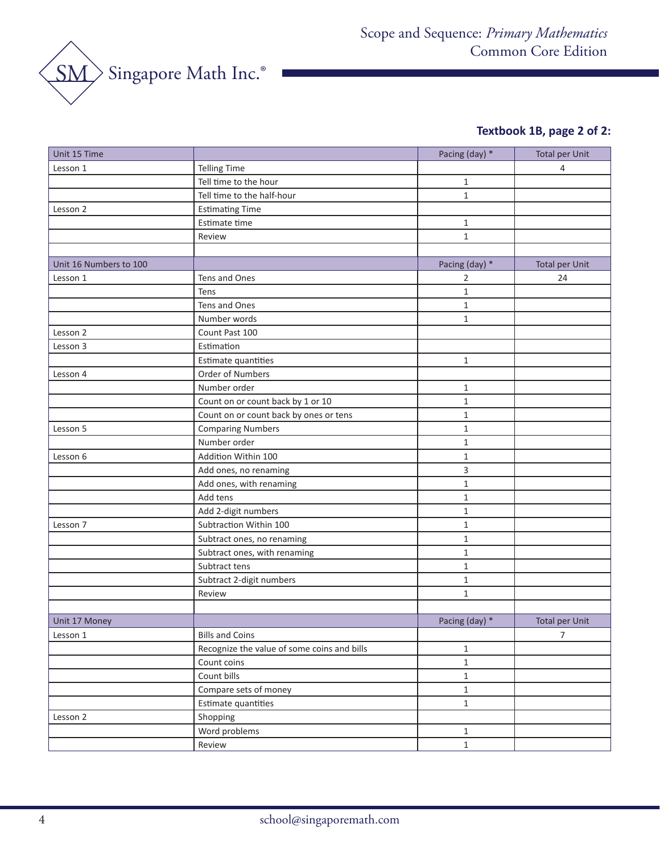

# **Textbook 1B, page 2 of 2:**

| Unit 15 Time           |                                             | Pacing (day) * | <b>Total per Unit</b> |
|------------------------|---------------------------------------------|----------------|-----------------------|
| Lesson 1               | <b>Telling Time</b>                         |                | 4                     |
|                        | Tell time to the hour                       | 1              |                       |
|                        | Tell time to the half-hour                  | $\mathbf{1}$   |                       |
| Lesson 2               | <b>Estimating Time</b>                      |                |                       |
|                        | Estimate time                               | $\mathbf{1}$   |                       |
|                        | Review                                      | $\mathbf{1}$   |                       |
|                        |                                             |                |                       |
| Unit 16 Numbers to 100 |                                             | Pacing (day) * | <b>Total per Unit</b> |
| Lesson 1               | Tens and Ones                               | 2              | 24                    |
|                        | Tens                                        | $\mathbf{1}$   |                       |
|                        | Tens and Ones                               | $\mathbf{1}$   |                       |
|                        | Number words                                | 1              |                       |
| Lesson 2               | Count Past 100                              |                |                       |
| Lesson 3               | Estimation                                  |                |                       |
|                        | Estimate quantities                         | $\mathbf{1}$   |                       |
| Lesson 4               | Order of Numbers                            |                |                       |
|                        | Number order                                | $\mathbf 1$    |                       |
|                        | Count on or count back by 1 or 10           | $\mathbf{1}$   |                       |
|                        | Count on or count back by ones or tens      | $\mathbf{1}$   |                       |
| Lesson 5               | <b>Comparing Numbers</b>                    | 1              |                       |
|                        | Number order                                | $\mathbf{1}$   |                       |
| Lesson 6               | Addition Within 100                         | $\mathbf{1}$   |                       |
|                        | Add ones, no renaming                       | 3              |                       |
|                        | Add ones, with renaming                     | $\mathbf{1}$   |                       |
|                        | Add tens                                    | $\mathbf 1$    |                       |
|                        | Add 2-digit numbers                         | $\mathbf{1}$   |                       |
| Lesson 7               | Subtraction Within 100                      | $\mathbf{1}$   |                       |
|                        | Subtract ones, no renaming                  | 1              |                       |
|                        | Subtract ones, with renaming                | $\mathbf{1}$   |                       |
|                        | Subtract tens                               | $\mathbf{1}$   |                       |
|                        | Subtract 2-digit numbers                    | $\mathbf{1}$   |                       |
|                        | Review                                      | $\mathbf{1}$   |                       |
|                        |                                             |                |                       |
| Unit 17 Money          |                                             | Pacing (day) * | <b>Total per Unit</b> |
| Lesson 1               | <b>Bills and Coins</b>                      |                | $\overline{7}$        |
|                        | Recognize the value of some coins and bills | $\mathbf{1}$   |                       |
|                        | Count coins                                 | $\mathbf 1$    |                       |
|                        | Count bills                                 | $\mathbf{1}$   |                       |
|                        | Compare sets of money                       | $\mathbf{1}$   |                       |
|                        | Estimate quantities                         | $\mathbf 1$    |                       |
| Lesson 2               | Shopping                                    |                |                       |
|                        | Word problems                               | $\mathbf{1}$   |                       |
|                        | Review                                      | $\mathbf{1}$   |                       |
|                        |                                             |                |                       |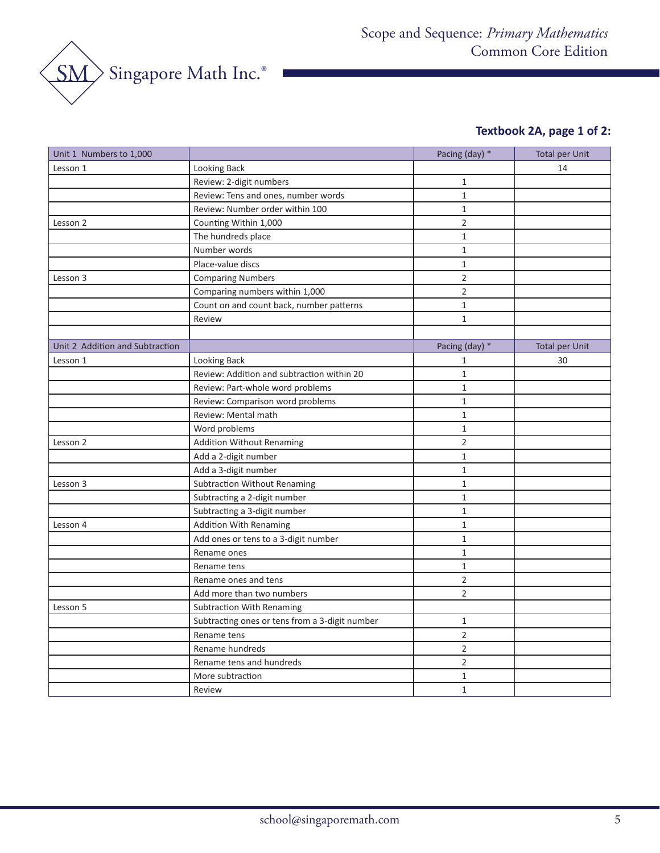

# **Textbook 2A, page 1 of 2:**

| Unit 1 Numbers to 1,000         |                                                | Pacing (day) * | <b>Total per Unit</b> |
|---------------------------------|------------------------------------------------|----------------|-----------------------|
| Lesson 1                        | Looking Back                                   |                | 14                    |
|                                 | Review: 2-digit numbers                        | $\mathbf{1}$   |                       |
|                                 | Review: Tens and ones, number words            | $1\,$          |                       |
|                                 | Review: Number order within 100                | $1\,$          |                       |
| Lesson 2                        | Counting Within 1,000                          | $\overline{2}$ |                       |
|                                 | The hundreds place                             | $\mathbf{1}$   |                       |
|                                 | Number words                                   | $\mathbf 1$    |                       |
|                                 | Place-value discs                              | $\mathbf{1}$   |                       |
| Lesson 3                        | <b>Comparing Numbers</b>                       | $\overline{2}$ |                       |
|                                 | Comparing numbers within 1,000                 | $\overline{2}$ |                       |
|                                 | Count on and count back, number patterns       | $\mathbf{1}$   |                       |
|                                 | Review                                         | $\mathbf{1}$   |                       |
|                                 |                                                |                |                       |
| Unit 2 Addition and Subtraction |                                                | Pacing (day) * | <b>Total per Unit</b> |
| Lesson 1                        | Looking Back                                   | $\mathbf{1}$   | 30                    |
|                                 | Review: Addition and subtraction within 20     | $\mathbf{1}$   |                       |
|                                 | Review: Part-whole word problems               | $\mathbf{1}$   |                       |
|                                 | Review: Comparison word problems               | $1\,$          |                       |
|                                 | Review: Mental math                            | $\mathbf{1}$   |                       |
|                                 | Word problems                                  | $\mathbf{1}$   |                       |
| Lesson 2                        | <b>Addition Without Renaming</b>               | $\overline{2}$ |                       |
|                                 | Add a 2-digit number                           | $\mathbf{1}$   |                       |
|                                 | Add a 3-digit number                           | $\mathbf{1}$   |                       |
| Lesson 3                        | <b>Subtraction Without Renaming</b>            | $\mathbf{1}$   |                       |
|                                 | Subtracting a 2-digit number                   | $\mathbf{1}$   |                       |
|                                 | Subtracting a 3-digit number                   | $\mathbf{1}$   |                       |
| Lesson 4                        | <b>Addition With Renaming</b>                  | $\mathbf{1}$   |                       |
|                                 | Add ones or tens to a 3-digit number           | $\mathbf{1}$   |                       |
|                                 | Rename ones                                    | $\mathbf{1}$   |                       |
|                                 | Rename tens                                    | $\mathbf{1}$   |                       |
|                                 | Rename ones and tens                           | $\overline{2}$ |                       |
|                                 | Add more than two numbers                      | $\overline{2}$ |                       |
| Lesson 5                        | <b>Subtraction With Renaming</b>               |                |                       |
|                                 | Subtracting ones or tens from a 3-digit number | $\mathbf{1}$   |                       |
|                                 | Rename tens                                    | $\overline{2}$ |                       |
|                                 | Rename hundreds                                | $\overline{2}$ |                       |
|                                 | Rename tens and hundreds                       | $\overline{2}$ |                       |
|                                 | More subtraction                               | $\mathbf{1}$   |                       |
|                                 | Review                                         | $1\,$          |                       |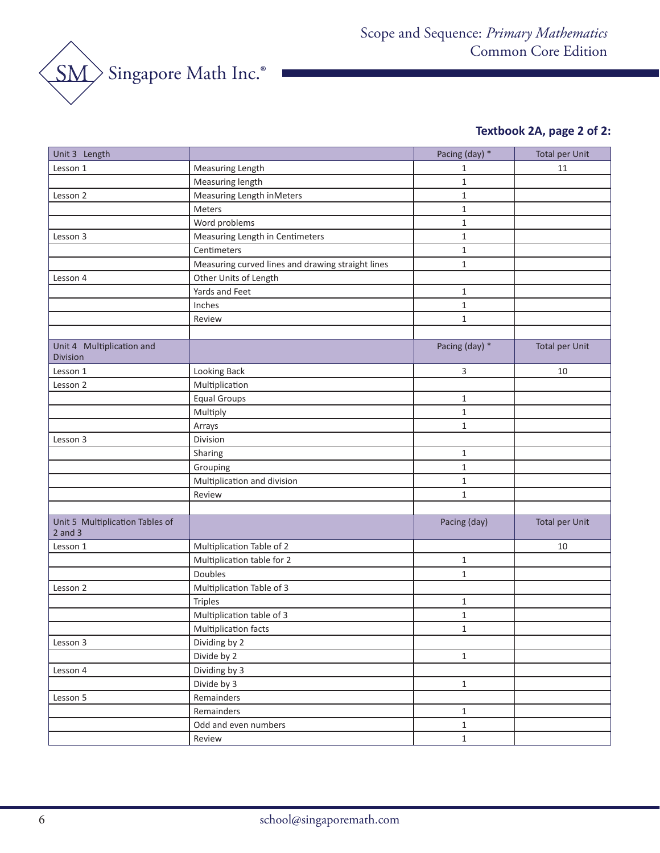

# **Textbook 2A, page 2 of 2:**

| Unit 3 Length                                  |                                                   | Pacing (day) * | <b>Total per Unit</b> |
|------------------------------------------------|---------------------------------------------------|----------------|-----------------------|
| Lesson 1                                       | Measuring Length                                  | 1              | 11                    |
|                                                | Measuring length                                  | $\mathbf{1}$   |                       |
| Lesson 2                                       | Measuring Length inMeters                         | $\mathbf 1$    |                       |
|                                                | Meters                                            | $\mathbf{1}$   |                       |
|                                                | Word problems                                     | $\mathbf{1}$   |                       |
| Lesson 3                                       | Measuring Length in Centimeters                   | $\mathbf{1}$   |                       |
|                                                | Centimeters                                       | $\mathbf{1}$   |                       |
|                                                | Measuring curved lines and drawing straight lines | $\mathbf{1}$   |                       |
| Lesson 4                                       | Other Units of Length                             |                |                       |
|                                                | Yards and Feet                                    | $\mathbf{1}$   |                       |
|                                                | Inches                                            | $\mathbf 1$    |                       |
|                                                | Review                                            | $\mathbf{1}$   |                       |
|                                                |                                                   |                |                       |
| Unit 4 Multiplication and<br>Division          |                                                   | Pacing (day) * | <b>Total per Unit</b> |
| Lesson 1                                       | Looking Back                                      | 3              | 10                    |
| Lesson 2                                       | Multiplication                                    |                |                       |
|                                                | <b>Equal Groups</b>                               | 1              |                       |
|                                                | Multiply                                          | $\mathbf{1}$   |                       |
|                                                | Arrays                                            | $\mathbf{1}$   |                       |
| Lesson 3                                       | Division                                          |                |                       |
|                                                | Sharing                                           | 1              |                       |
|                                                | Grouping                                          | $1\,$          |                       |
|                                                | Multiplication and division                       | $\mathbf{1}$   |                       |
|                                                | Review                                            | $\mathbf{1}$   |                       |
|                                                |                                                   |                |                       |
| Unit 5 Multiplication Tables of<br>$2$ and $3$ |                                                   | Pacing (day)   | <b>Total per Unit</b> |
| Lesson 1                                       | Multiplication Table of 2                         |                | 10                    |
|                                                | Multiplication table for 2                        | $\mathbf{1}$   |                       |
|                                                | Doubles                                           | $\mathbf{1}$   |                       |
| Lesson 2                                       | Multiplication Table of 3                         |                |                       |
|                                                | <b>Triples</b>                                    | $\mathbf{1}$   |                       |
|                                                | Multiplication table of 3                         | $\mathbf{1}$   |                       |
|                                                | Multiplication facts                              | 1              |                       |
| Lesson 3                                       | Dividing by 2                                     |                |                       |
|                                                | Divide by 2                                       | $\mathbf{1}$   |                       |
| Lesson 4                                       | Dividing by 3                                     |                |                       |
|                                                | Divide by 3                                       | $\,1\,$        |                       |
| Lesson 5                                       | Remainders                                        |                |                       |
|                                                | Remainders                                        | $\mathbf{1}$   |                       |
|                                                | Odd and even numbers                              | $\,1\,$        |                       |
|                                                | Review                                            | $\,1\,$        |                       |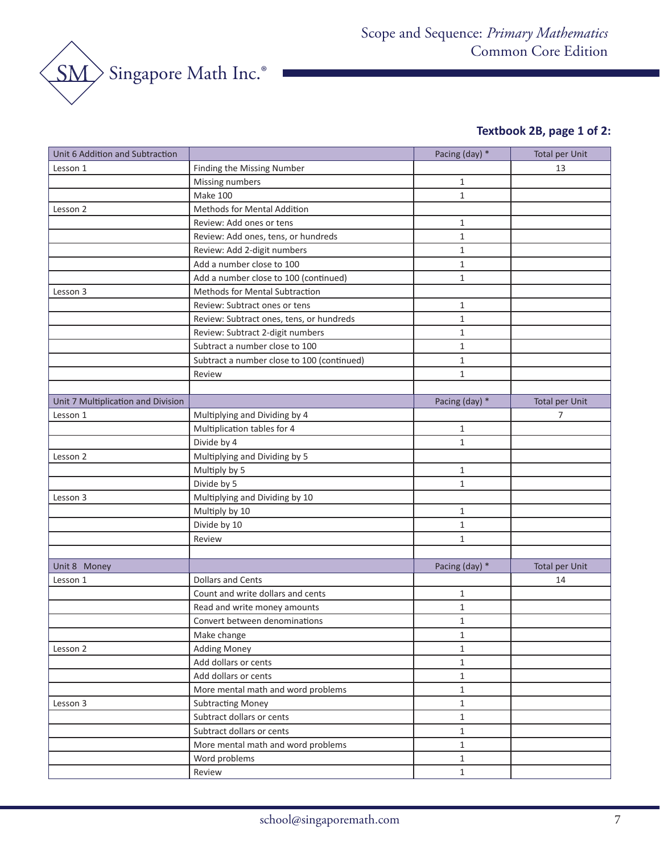

# **Textbook 2B, page 1 of 2:**

| Finding the Missing Number<br>13<br>Lesson 1<br>Missing numbers<br>$\mathbf{1}$<br>Make 100<br>$\mathbf{1}$<br>Methods for Mental Addition<br>Lesson 2<br>Review: Add ones or tens<br>1<br>$\mathbf{1}$<br>Review: Add ones, tens, or hundreds<br>Review: Add 2-digit numbers<br>1<br>Add a number close to 100<br>$\mathbf{1}$<br>Add a number close to 100 (continued)<br>$\mathbf{1}$<br>Methods for Mental Subtraction<br>Lesson 3<br>Review: Subtract ones or tens<br>1<br>$\mathbf{1}$<br>Review: Subtract ones, tens, or hundreds<br>Review: Subtract 2-digit numbers<br>$\mathbf{1}$<br>Subtract a number close to 100<br>$\mathbf{1}$<br>Subtract a number close to 100 (continued)<br>1<br>$\mathbf{1}$<br>Review<br>Unit 7 Multiplication and Division<br>Pacing (day) *<br><b>Total per Unit</b><br>Multiplying and Dividing by 4<br>Lesson 1<br>7<br>Multiplication tables for 4<br>$\mathbf{1}$<br>Divide by 4<br>$\mathbf{1}$<br>Multiplying and Dividing by 5<br>Lesson 2<br>Multiply by 5<br>$\mathbf{1}$<br>Divide by 5<br>$\mathbf{1}$<br>Lesson 3<br>Multiplying and Dividing by 10<br>Multiply by 10<br>$\mathbf{1}$<br>Divide by 10<br>$\mathbf{1}$<br>$\mathbf{1}$<br>Review<br>Pacing (day) *<br><b>Total per Unit</b><br>Unit 8 Money<br>Dollars and Cents<br>Lesson 1<br>14<br>Count and write dollars and cents<br>$\mathbf{1}$<br>Read and write money amounts<br>1<br>Convert between denominations<br>$\mathbf{1}$<br>Make change<br>1<br><b>Adding Money</b><br>$\mathbf{1}$<br>Lesson 2<br>Add dollars or cents<br>$\mathbf{1}$<br>Add dollars or cents<br>$\mathbf{1}$<br>More mental math and word problems<br>$\mathbf{1}$<br><b>Subtracting Money</b><br>Lesson 3<br>$\mathbf{1}$<br>Subtract dollars or cents<br>$\mathbf{1}$<br>Subtract dollars or cents<br>$\mathbf{1}$<br>More mental math and word problems<br>$\mathbf{1}$ | Unit 6 Addition and Subtraction |               | Pacing (day) * | <b>Total per Unit</b> |
|-----------------------------------------------------------------------------------------------------------------------------------------------------------------------------------------------------------------------------------------------------------------------------------------------------------------------------------------------------------------------------------------------------------------------------------------------------------------------------------------------------------------------------------------------------------------------------------------------------------------------------------------------------------------------------------------------------------------------------------------------------------------------------------------------------------------------------------------------------------------------------------------------------------------------------------------------------------------------------------------------------------------------------------------------------------------------------------------------------------------------------------------------------------------------------------------------------------------------------------------------------------------------------------------------------------------------------------------------------------------------------------------------------------------------------------------------------------------------------------------------------------------------------------------------------------------------------------------------------------------------------------------------------------------------------------------------------------------------------------------------------------------------------------------------------------------------------------------------------------------------|---------------------------------|---------------|----------------|-----------------------|
|                                                                                                                                                                                                                                                                                                                                                                                                                                                                                                                                                                                                                                                                                                                                                                                                                                                                                                                                                                                                                                                                                                                                                                                                                                                                                                                                                                                                                                                                                                                                                                                                                                                                                                                                                                                                                                                                       |                                 |               |                |                       |
|                                                                                                                                                                                                                                                                                                                                                                                                                                                                                                                                                                                                                                                                                                                                                                                                                                                                                                                                                                                                                                                                                                                                                                                                                                                                                                                                                                                                                                                                                                                                                                                                                                                                                                                                                                                                                                                                       |                                 |               |                |                       |
|                                                                                                                                                                                                                                                                                                                                                                                                                                                                                                                                                                                                                                                                                                                                                                                                                                                                                                                                                                                                                                                                                                                                                                                                                                                                                                                                                                                                                                                                                                                                                                                                                                                                                                                                                                                                                                                                       |                                 |               |                |                       |
|                                                                                                                                                                                                                                                                                                                                                                                                                                                                                                                                                                                                                                                                                                                                                                                                                                                                                                                                                                                                                                                                                                                                                                                                                                                                                                                                                                                                                                                                                                                                                                                                                                                                                                                                                                                                                                                                       |                                 |               |                |                       |
|                                                                                                                                                                                                                                                                                                                                                                                                                                                                                                                                                                                                                                                                                                                                                                                                                                                                                                                                                                                                                                                                                                                                                                                                                                                                                                                                                                                                                                                                                                                                                                                                                                                                                                                                                                                                                                                                       |                                 |               |                |                       |
|                                                                                                                                                                                                                                                                                                                                                                                                                                                                                                                                                                                                                                                                                                                                                                                                                                                                                                                                                                                                                                                                                                                                                                                                                                                                                                                                                                                                                                                                                                                                                                                                                                                                                                                                                                                                                                                                       |                                 |               |                |                       |
|                                                                                                                                                                                                                                                                                                                                                                                                                                                                                                                                                                                                                                                                                                                                                                                                                                                                                                                                                                                                                                                                                                                                                                                                                                                                                                                                                                                                                                                                                                                                                                                                                                                                                                                                                                                                                                                                       |                                 |               |                |                       |
|                                                                                                                                                                                                                                                                                                                                                                                                                                                                                                                                                                                                                                                                                                                                                                                                                                                                                                                                                                                                                                                                                                                                                                                                                                                                                                                                                                                                                                                                                                                                                                                                                                                                                                                                                                                                                                                                       |                                 |               |                |                       |
|                                                                                                                                                                                                                                                                                                                                                                                                                                                                                                                                                                                                                                                                                                                                                                                                                                                                                                                                                                                                                                                                                                                                                                                                                                                                                                                                                                                                                                                                                                                                                                                                                                                                                                                                                                                                                                                                       |                                 |               |                |                       |
|                                                                                                                                                                                                                                                                                                                                                                                                                                                                                                                                                                                                                                                                                                                                                                                                                                                                                                                                                                                                                                                                                                                                                                                                                                                                                                                                                                                                                                                                                                                                                                                                                                                                                                                                                                                                                                                                       |                                 |               |                |                       |
|                                                                                                                                                                                                                                                                                                                                                                                                                                                                                                                                                                                                                                                                                                                                                                                                                                                                                                                                                                                                                                                                                                                                                                                                                                                                                                                                                                                                                                                                                                                                                                                                                                                                                                                                                                                                                                                                       |                                 |               |                |                       |
|                                                                                                                                                                                                                                                                                                                                                                                                                                                                                                                                                                                                                                                                                                                                                                                                                                                                                                                                                                                                                                                                                                                                                                                                                                                                                                                                                                                                                                                                                                                                                                                                                                                                                                                                                                                                                                                                       |                                 |               |                |                       |
|                                                                                                                                                                                                                                                                                                                                                                                                                                                                                                                                                                                                                                                                                                                                                                                                                                                                                                                                                                                                                                                                                                                                                                                                                                                                                                                                                                                                                                                                                                                                                                                                                                                                                                                                                                                                                                                                       |                                 |               |                |                       |
|                                                                                                                                                                                                                                                                                                                                                                                                                                                                                                                                                                                                                                                                                                                                                                                                                                                                                                                                                                                                                                                                                                                                                                                                                                                                                                                                                                                                                                                                                                                                                                                                                                                                                                                                                                                                                                                                       |                                 |               |                |                       |
|                                                                                                                                                                                                                                                                                                                                                                                                                                                                                                                                                                                                                                                                                                                                                                                                                                                                                                                                                                                                                                                                                                                                                                                                                                                                                                                                                                                                                                                                                                                                                                                                                                                                                                                                                                                                                                                                       |                                 |               |                |                       |
|                                                                                                                                                                                                                                                                                                                                                                                                                                                                                                                                                                                                                                                                                                                                                                                                                                                                                                                                                                                                                                                                                                                                                                                                                                                                                                                                                                                                                                                                                                                                                                                                                                                                                                                                                                                                                                                                       |                                 |               |                |                       |
|                                                                                                                                                                                                                                                                                                                                                                                                                                                                                                                                                                                                                                                                                                                                                                                                                                                                                                                                                                                                                                                                                                                                                                                                                                                                                                                                                                                                                                                                                                                                                                                                                                                                                                                                                                                                                                                                       |                                 |               |                |                       |
|                                                                                                                                                                                                                                                                                                                                                                                                                                                                                                                                                                                                                                                                                                                                                                                                                                                                                                                                                                                                                                                                                                                                                                                                                                                                                                                                                                                                                                                                                                                                                                                                                                                                                                                                                                                                                                                                       |                                 |               |                |                       |
|                                                                                                                                                                                                                                                                                                                                                                                                                                                                                                                                                                                                                                                                                                                                                                                                                                                                                                                                                                                                                                                                                                                                                                                                                                                                                                                                                                                                                                                                                                                                                                                                                                                                                                                                                                                                                                                                       |                                 |               |                |                       |
|                                                                                                                                                                                                                                                                                                                                                                                                                                                                                                                                                                                                                                                                                                                                                                                                                                                                                                                                                                                                                                                                                                                                                                                                                                                                                                                                                                                                                                                                                                                                                                                                                                                                                                                                                                                                                                                                       |                                 |               |                |                       |
|                                                                                                                                                                                                                                                                                                                                                                                                                                                                                                                                                                                                                                                                                                                                                                                                                                                                                                                                                                                                                                                                                                                                                                                                                                                                                                                                                                                                                                                                                                                                                                                                                                                                                                                                                                                                                                                                       |                                 |               |                |                       |
|                                                                                                                                                                                                                                                                                                                                                                                                                                                                                                                                                                                                                                                                                                                                                                                                                                                                                                                                                                                                                                                                                                                                                                                                                                                                                                                                                                                                                                                                                                                                                                                                                                                                                                                                                                                                                                                                       |                                 |               |                |                       |
|                                                                                                                                                                                                                                                                                                                                                                                                                                                                                                                                                                                                                                                                                                                                                                                                                                                                                                                                                                                                                                                                                                                                                                                                                                                                                                                                                                                                                                                                                                                                                                                                                                                                                                                                                                                                                                                                       |                                 |               |                |                       |
|                                                                                                                                                                                                                                                                                                                                                                                                                                                                                                                                                                                                                                                                                                                                                                                                                                                                                                                                                                                                                                                                                                                                                                                                                                                                                                                                                                                                                                                                                                                                                                                                                                                                                                                                                                                                                                                                       |                                 |               |                |                       |
|                                                                                                                                                                                                                                                                                                                                                                                                                                                                                                                                                                                                                                                                                                                                                                                                                                                                                                                                                                                                                                                                                                                                                                                                                                                                                                                                                                                                                                                                                                                                                                                                                                                                                                                                                                                                                                                                       |                                 |               |                |                       |
|                                                                                                                                                                                                                                                                                                                                                                                                                                                                                                                                                                                                                                                                                                                                                                                                                                                                                                                                                                                                                                                                                                                                                                                                                                                                                                                                                                                                                                                                                                                                                                                                                                                                                                                                                                                                                                                                       |                                 |               |                |                       |
|                                                                                                                                                                                                                                                                                                                                                                                                                                                                                                                                                                                                                                                                                                                                                                                                                                                                                                                                                                                                                                                                                                                                                                                                                                                                                                                                                                                                                                                                                                                                                                                                                                                                                                                                                                                                                                                                       |                                 |               |                |                       |
|                                                                                                                                                                                                                                                                                                                                                                                                                                                                                                                                                                                                                                                                                                                                                                                                                                                                                                                                                                                                                                                                                                                                                                                                                                                                                                                                                                                                                                                                                                                                                                                                                                                                                                                                                                                                                                                                       |                                 |               |                |                       |
|                                                                                                                                                                                                                                                                                                                                                                                                                                                                                                                                                                                                                                                                                                                                                                                                                                                                                                                                                                                                                                                                                                                                                                                                                                                                                                                                                                                                                                                                                                                                                                                                                                                                                                                                                                                                                                                                       |                                 |               |                |                       |
|                                                                                                                                                                                                                                                                                                                                                                                                                                                                                                                                                                                                                                                                                                                                                                                                                                                                                                                                                                                                                                                                                                                                                                                                                                                                                                                                                                                                                                                                                                                                                                                                                                                                                                                                                                                                                                                                       |                                 |               |                |                       |
|                                                                                                                                                                                                                                                                                                                                                                                                                                                                                                                                                                                                                                                                                                                                                                                                                                                                                                                                                                                                                                                                                                                                                                                                                                                                                                                                                                                                                                                                                                                                                                                                                                                                                                                                                                                                                                                                       |                                 |               |                |                       |
|                                                                                                                                                                                                                                                                                                                                                                                                                                                                                                                                                                                                                                                                                                                                                                                                                                                                                                                                                                                                                                                                                                                                                                                                                                                                                                                                                                                                                                                                                                                                                                                                                                                                                                                                                                                                                                                                       |                                 |               |                |                       |
|                                                                                                                                                                                                                                                                                                                                                                                                                                                                                                                                                                                                                                                                                                                                                                                                                                                                                                                                                                                                                                                                                                                                                                                                                                                                                                                                                                                                                                                                                                                                                                                                                                                                                                                                                                                                                                                                       |                                 |               |                |                       |
|                                                                                                                                                                                                                                                                                                                                                                                                                                                                                                                                                                                                                                                                                                                                                                                                                                                                                                                                                                                                                                                                                                                                                                                                                                                                                                                                                                                                                                                                                                                                                                                                                                                                                                                                                                                                                                                                       |                                 |               |                |                       |
|                                                                                                                                                                                                                                                                                                                                                                                                                                                                                                                                                                                                                                                                                                                                                                                                                                                                                                                                                                                                                                                                                                                                                                                                                                                                                                                                                                                                                                                                                                                                                                                                                                                                                                                                                                                                                                                                       |                                 |               |                |                       |
|                                                                                                                                                                                                                                                                                                                                                                                                                                                                                                                                                                                                                                                                                                                                                                                                                                                                                                                                                                                                                                                                                                                                                                                                                                                                                                                                                                                                                                                                                                                                                                                                                                                                                                                                                                                                                                                                       |                                 |               |                |                       |
|                                                                                                                                                                                                                                                                                                                                                                                                                                                                                                                                                                                                                                                                                                                                                                                                                                                                                                                                                                                                                                                                                                                                                                                                                                                                                                                                                                                                                                                                                                                                                                                                                                                                                                                                                                                                                                                                       |                                 |               |                |                       |
|                                                                                                                                                                                                                                                                                                                                                                                                                                                                                                                                                                                                                                                                                                                                                                                                                                                                                                                                                                                                                                                                                                                                                                                                                                                                                                                                                                                                                                                                                                                                                                                                                                                                                                                                                                                                                                                                       |                                 |               |                |                       |
|                                                                                                                                                                                                                                                                                                                                                                                                                                                                                                                                                                                                                                                                                                                                                                                                                                                                                                                                                                                                                                                                                                                                                                                                                                                                                                                                                                                                                                                                                                                                                                                                                                                                                                                                                                                                                                                                       |                                 |               |                |                       |
|                                                                                                                                                                                                                                                                                                                                                                                                                                                                                                                                                                                                                                                                                                                                                                                                                                                                                                                                                                                                                                                                                                                                                                                                                                                                                                                                                                                                                                                                                                                                                                                                                                                                                                                                                                                                                                                                       |                                 |               |                |                       |
|                                                                                                                                                                                                                                                                                                                                                                                                                                                                                                                                                                                                                                                                                                                                                                                                                                                                                                                                                                                                                                                                                                                                                                                                                                                                                                                                                                                                                                                                                                                                                                                                                                                                                                                                                                                                                                                                       |                                 |               |                |                       |
|                                                                                                                                                                                                                                                                                                                                                                                                                                                                                                                                                                                                                                                                                                                                                                                                                                                                                                                                                                                                                                                                                                                                                                                                                                                                                                                                                                                                                                                                                                                                                                                                                                                                                                                                                                                                                                                                       |                                 |               |                |                       |
|                                                                                                                                                                                                                                                                                                                                                                                                                                                                                                                                                                                                                                                                                                                                                                                                                                                                                                                                                                                                                                                                                                                                                                                                                                                                                                                                                                                                                                                                                                                                                                                                                                                                                                                                                                                                                                                                       |                                 |               |                |                       |
|                                                                                                                                                                                                                                                                                                                                                                                                                                                                                                                                                                                                                                                                                                                                                                                                                                                                                                                                                                                                                                                                                                                                                                                                                                                                                                                                                                                                                                                                                                                                                                                                                                                                                                                                                                                                                                                                       |                                 | Word problems | $\mathbf{1}$   |                       |
| Review<br>$\mathbf{1}$                                                                                                                                                                                                                                                                                                                                                                                                                                                                                                                                                                                                                                                                                                                                                                                                                                                                                                                                                                                                                                                                                                                                                                                                                                                                                                                                                                                                                                                                                                                                                                                                                                                                                                                                                                                                                                                |                                 |               |                |                       |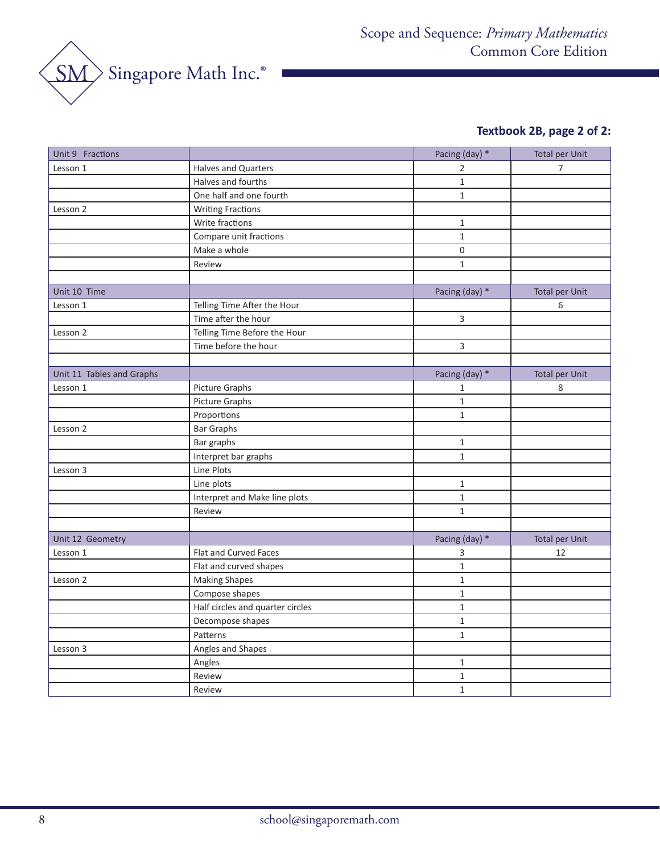

# **Textbook 2B, page 2 of 2:**

| Unit 9 Fractions          |                                  | Pacing (day) *   | <b>Total per Unit</b> |
|---------------------------|----------------------------------|------------------|-----------------------|
| Lesson 1                  | Halves and Quarters              | 2                | 7                     |
|                           | Halves and fourths               | $\mathbf 1$      |                       |
|                           | One half and one fourth          | $\mathbf{1}$     |                       |
| Lesson 2                  | <b>Writing Fractions</b>         |                  |                       |
|                           | Write fractions                  | $\mathbf 1$      |                       |
|                           | Compare unit fractions           | $\mathbf{1}$     |                       |
|                           | Make a whole                     | $\boldsymbol{0}$ |                       |
|                           | Review                           | $1\,$            |                       |
|                           |                                  |                  |                       |
| Unit 10 Time              |                                  | Pacing (day) *   | <b>Total per Unit</b> |
| Lesson 1                  | Telling Time After the Hour      |                  | 6                     |
|                           | Time after the hour              | $\overline{3}$   |                       |
| Lesson 2                  | Telling Time Before the Hour     |                  |                       |
|                           | Time before the hour             | $\overline{3}$   |                       |
|                           |                                  |                  |                       |
| Unit 11 Tables and Graphs |                                  | Pacing (day) *   | <b>Total per Unit</b> |
| Lesson 1                  | <b>Picture Graphs</b>            | $\mathbf{1}$     | 8                     |
|                           | Picture Graphs                   | $\mathbf 1$      |                       |
|                           | Proportions                      | $1\,$            |                       |
| Lesson 2                  | <b>Bar Graphs</b>                |                  |                       |
|                           | Bar graphs                       | $\,1\,$          |                       |
|                           | Interpret bar graphs             | $1\,$            |                       |
| Lesson 3                  | Line Plots                       |                  |                       |
|                           | Line plots                       | $\mathbf{1}$     |                       |
|                           | Interpret and Make line plots    | $\mathbf 1$      |                       |
|                           | Review                           | $1\,$            |                       |
|                           |                                  |                  |                       |
| Unit 12 Geometry          |                                  | Pacing (day) *   | <b>Total per Unit</b> |
| Lesson 1                  | Flat and Curved Faces            | 3                | 12                    |
|                           | Flat and curved shapes           | $\mathbf 1$      |                       |
| Lesson 2                  | <b>Making Shapes</b>             | $\mathbf{1}$     |                       |
|                           | Compose shapes                   | $\mathbf{1}$     |                       |
|                           | Half circles and quarter circles | $\mathbf 1$      |                       |
|                           | Decompose shapes                 | $\mathbf 1$      |                       |
|                           | Patterns                         | $\mathbf{1}$     |                       |
| Lesson 3                  | Angles and Shapes                |                  |                       |
|                           | Angles                           | $1\,$            |                       |
|                           | Review                           | $\mathbf{1}$     |                       |
|                           | Review                           | $\mathbf{1}$     |                       |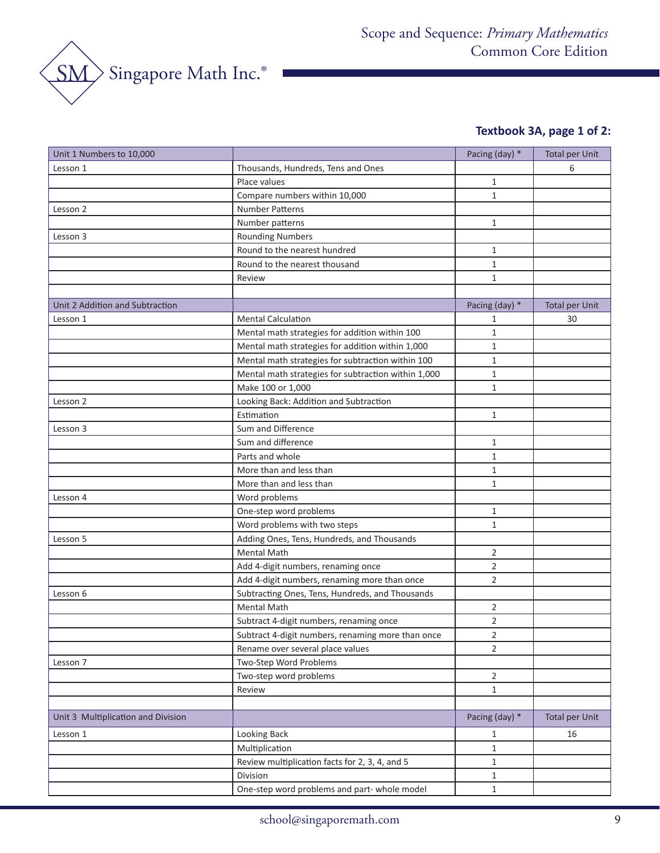

# **Textbook 3A, page 1 of 2:**

| Thousands, Hundreds, Tens and Ones<br>6<br>Lesson 1<br>Place values<br>$\mathbf{1}$<br>$\mathbf{1}$<br>Compare numbers within 10,000<br>Lesson 2<br><b>Number Patterns</b><br>Number patterns<br>$\mathbf{1}$<br><b>Rounding Numbers</b><br>Lesson 3<br>Round to the nearest hundred<br>$\mathbf{1}$<br>Round to the nearest thousand<br>$\mathbf{1}$<br>$\mathbf{1}$<br>Review<br>Unit 2 Addition and Subtraction<br>Pacing (day) *<br><b>Total per Unit</b><br>Lesson 1<br><b>Mental Calculation</b><br>30<br>1<br>Mental math strategies for addition within 100<br>$\mathbf{1}$<br>Mental math strategies for addition within 1,000<br>1<br>Mental math strategies for subtraction within 100<br>$\mathbf{1}$<br>Mental math strategies for subtraction within 1,000<br>$\mathbf{1}$<br>Make 100 or 1,000<br>$\mathbf{1}$<br>Looking Back: Addition and Subtraction<br>Lesson 2<br>Estimation<br>$\mathbf{1}$<br>Sum and Difference<br>Lesson 3<br>Sum and difference<br>$\mathbf{1}$<br>Parts and whole<br>$\mathbf{1}$<br>More than and less than<br>$\mathbf{1}$<br>More than and less than<br>$\mathbf{1}$<br>Word problems<br>Lesson 4<br>One-step word problems<br>$\mathbf{1}$<br>Word problems with two steps<br>$\mathbf{1}$<br>Adding Ones, Tens, Hundreds, and Thousands<br>Lesson 5<br><b>Mental Math</b><br>$\overline{2}$<br>$\overline{2}$<br>Add 4-digit numbers, renaming once<br>Add 4-digit numbers, renaming more than once<br>$\overline{2}$<br>Subtracting Ones, Tens, Hundreds, and Thousands<br>Lesson 6<br><b>Mental Math</b><br>$\overline{2}$<br>$\overline{2}$<br>Subtract 4-digit numbers, renaming once<br>Subtract 4-digit numbers, renaming more than once<br>$\overline{2}$<br>Rename over several place values<br>$\overline{2}$<br>Two-Step Word Problems<br>Lesson 7<br>Two-step word problems<br>2<br>Review<br>$\mathbf{1}$<br>Pacing (day) *<br>Unit 3 Multiplication and Division<br><b>Total per Unit</b><br>Looking Back<br>16<br>Lesson 1<br>1<br>Multiplication<br>$\mathbf{1}$<br>Review multiplication facts for 2, 3, 4, and 5<br>1<br>Division<br>$\mathbf{1}$<br>One-step word problems and part- whole model<br>$\mathbf{1}$ | Unit 1 Numbers to 10,000 | Pacing (day) * | <b>Total per Unit</b> |
|------------------------------------------------------------------------------------------------------------------------------------------------------------------------------------------------------------------------------------------------------------------------------------------------------------------------------------------------------------------------------------------------------------------------------------------------------------------------------------------------------------------------------------------------------------------------------------------------------------------------------------------------------------------------------------------------------------------------------------------------------------------------------------------------------------------------------------------------------------------------------------------------------------------------------------------------------------------------------------------------------------------------------------------------------------------------------------------------------------------------------------------------------------------------------------------------------------------------------------------------------------------------------------------------------------------------------------------------------------------------------------------------------------------------------------------------------------------------------------------------------------------------------------------------------------------------------------------------------------------------------------------------------------------------------------------------------------------------------------------------------------------------------------------------------------------------------------------------------------------------------------------------------------------------------------------------------------------------------------------------------------------------------------------------------------------------------------------------------------------------------------------------------------------------------------|--------------------------|----------------|-----------------------|
|                                                                                                                                                                                                                                                                                                                                                                                                                                                                                                                                                                                                                                                                                                                                                                                                                                                                                                                                                                                                                                                                                                                                                                                                                                                                                                                                                                                                                                                                                                                                                                                                                                                                                                                                                                                                                                                                                                                                                                                                                                                                                                                                                                                    |                          |                |                       |
|                                                                                                                                                                                                                                                                                                                                                                                                                                                                                                                                                                                                                                                                                                                                                                                                                                                                                                                                                                                                                                                                                                                                                                                                                                                                                                                                                                                                                                                                                                                                                                                                                                                                                                                                                                                                                                                                                                                                                                                                                                                                                                                                                                                    |                          |                |                       |
|                                                                                                                                                                                                                                                                                                                                                                                                                                                                                                                                                                                                                                                                                                                                                                                                                                                                                                                                                                                                                                                                                                                                                                                                                                                                                                                                                                                                                                                                                                                                                                                                                                                                                                                                                                                                                                                                                                                                                                                                                                                                                                                                                                                    |                          |                |                       |
|                                                                                                                                                                                                                                                                                                                                                                                                                                                                                                                                                                                                                                                                                                                                                                                                                                                                                                                                                                                                                                                                                                                                                                                                                                                                                                                                                                                                                                                                                                                                                                                                                                                                                                                                                                                                                                                                                                                                                                                                                                                                                                                                                                                    |                          |                |                       |
|                                                                                                                                                                                                                                                                                                                                                                                                                                                                                                                                                                                                                                                                                                                                                                                                                                                                                                                                                                                                                                                                                                                                                                                                                                                                                                                                                                                                                                                                                                                                                                                                                                                                                                                                                                                                                                                                                                                                                                                                                                                                                                                                                                                    |                          |                |                       |
|                                                                                                                                                                                                                                                                                                                                                                                                                                                                                                                                                                                                                                                                                                                                                                                                                                                                                                                                                                                                                                                                                                                                                                                                                                                                                                                                                                                                                                                                                                                                                                                                                                                                                                                                                                                                                                                                                                                                                                                                                                                                                                                                                                                    |                          |                |                       |
|                                                                                                                                                                                                                                                                                                                                                                                                                                                                                                                                                                                                                                                                                                                                                                                                                                                                                                                                                                                                                                                                                                                                                                                                                                                                                                                                                                                                                                                                                                                                                                                                                                                                                                                                                                                                                                                                                                                                                                                                                                                                                                                                                                                    |                          |                |                       |
|                                                                                                                                                                                                                                                                                                                                                                                                                                                                                                                                                                                                                                                                                                                                                                                                                                                                                                                                                                                                                                                                                                                                                                                                                                                                                                                                                                                                                                                                                                                                                                                                                                                                                                                                                                                                                                                                                                                                                                                                                                                                                                                                                                                    |                          |                |                       |
|                                                                                                                                                                                                                                                                                                                                                                                                                                                                                                                                                                                                                                                                                                                                                                                                                                                                                                                                                                                                                                                                                                                                                                                                                                                                                                                                                                                                                                                                                                                                                                                                                                                                                                                                                                                                                                                                                                                                                                                                                                                                                                                                                                                    |                          |                |                       |
|                                                                                                                                                                                                                                                                                                                                                                                                                                                                                                                                                                                                                                                                                                                                                                                                                                                                                                                                                                                                                                                                                                                                                                                                                                                                                                                                                                                                                                                                                                                                                                                                                                                                                                                                                                                                                                                                                                                                                                                                                                                                                                                                                                                    |                          |                |                       |
|                                                                                                                                                                                                                                                                                                                                                                                                                                                                                                                                                                                                                                                                                                                                                                                                                                                                                                                                                                                                                                                                                                                                                                                                                                                                                                                                                                                                                                                                                                                                                                                                                                                                                                                                                                                                                                                                                                                                                                                                                                                                                                                                                                                    |                          |                |                       |
|                                                                                                                                                                                                                                                                                                                                                                                                                                                                                                                                                                                                                                                                                                                                                                                                                                                                                                                                                                                                                                                                                                                                                                                                                                                                                                                                                                                                                                                                                                                                                                                                                                                                                                                                                                                                                                                                                                                                                                                                                                                                                                                                                                                    |                          |                |                       |
|                                                                                                                                                                                                                                                                                                                                                                                                                                                                                                                                                                                                                                                                                                                                                                                                                                                                                                                                                                                                                                                                                                                                                                                                                                                                                                                                                                                                                                                                                                                                                                                                                                                                                                                                                                                                                                                                                                                                                                                                                                                                                                                                                                                    |                          |                |                       |
|                                                                                                                                                                                                                                                                                                                                                                                                                                                                                                                                                                                                                                                                                                                                                                                                                                                                                                                                                                                                                                                                                                                                                                                                                                                                                                                                                                                                                                                                                                                                                                                                                                                                                                                                                                                                                                                                                                                                                                                                                                                                                                                                                                                    |                          |                |                       |
|                                                                                                                                                                                                                                                                                                                                                                                                                                                                                                                                                                                                                                                                                                                                                                                                                                                                                                                                                                                                                                                                                                                                                                                                                                                                                                                                                                                                                                                                                                                                                                                                                                                                                                                                                                                                                                                                                                                                                                                                                                                                                                                                                                                    |                          |                |                       |
|                                                                                                                                                                                                                                                                                                                                                                                                                                                                                                                                                                                                                                                                                                                                                                                                                                                                                                                                                                                                                                                                                                                                                                                                                                                                                                                                                                                                                                                                                                                                                                                                                                                                                                                                                                                                                                                                                                                                                                                                                                                                                                                                                                                    |                          |                |                       |
|                                                                                                                                                                                                                                                                                                                                                                                                                                                                                                                                                                                                                                                                                                                                                                                                                                                                                                                                                                                                                                                                                                                                                                                                                                                                                                                                                                                                                                                                                                                                                                                                                                                                                                                                                                                                                                                                                                                                                                                                                                                                                                                                                                                    |                          |                |                       |
|                                                                                                                                                                                                                                                                                                                                                                                                                                                                                                                                                                                                                                                                                                                                                                                                                                                                                                                                                                                                                                                                                                                                                                                                                                                                                                                                                                                                                                                                                                                                                                                                                                                                                                                                                                                                                                                                                                                                                                                                                                                                                                                                                                                    |                          |                |                       |
|                                                                                                                                                                                                                                                                                                                                                                                                                                                                                                                                                                                                                                                                                                                                                                                                                                                                                                                                                                                                                                                                                                                                                                                                                                                                                                                                                                                                                                                                                                                                                                                                                                                                                                                                                                                                                                                                                                                                                                                                                                                                                                                                                                                    |                          |                |                       |
|                                                                                                                                                                                                                                                                                                                                                                                                                                                                                                                                                                                                                                                                                                                                                                                                                                                                                                                                                                                                                                                                                                                                                                                                                                                                                                                                                                                                                                                                                                                                                                                                                                                                                                                                                                                                                                                                                                                                                                                                                                                                                                                                                                                    |                          |                |                       |
|                                                                                                                                                                                                                                                                                                                                                                                                                                                                                                                                                                                                                                                                                                                                                                                                                                                                                                                                                                                                                                                                                                                                                                                                                                                                                                                                                                                                                                                                                                                                                                                                                                                                                                                                                                                                                                                                                                                                                                                                                                                                                                                                                                                    |                          |                |                       |
|                                                                                                                                                                                                                                                                                                                                                                                                                                                                                                                                                                                                                                                                                                                                                                                                                                                                                                                                                                                                                                                                                                                                                                                                                                                                                                                                                                                                                                                                                                                                                                                                                                                                                                                                                                                                                                                                                                                                                                                                                                                                                                                                                                                    |                          |                |                       |
|                                                                                                                                                                                                                                                                                                                                                                                                                                                                                                                                                                                                                                                                                                                                                                                                                                                                                                                                                                                                                                                                                                                                                                                                                                                                                                                                                                                                                                                                                                                                                                                                                                                                                                                                                                                                                                                                                                                                                                                                                                                                                                                                                                                    |                          |                |                       |
|                                                                                                                                                                                                                                                                                                                                                                                                                                                                                                                                                                                                                                                                                                                                                                                                                                                                                                                                                                                                                                                                                                                                                                                                                                                                                                                                                                                                                                                                                                                                                                                                                                                                                                                                                                                                                                                                                                                                                                                                                                                                                                                                                                                    |                          |                |                       |
|                                                                                                                                                                                                                                                                                                                                                                                                                                                                                                                                                                                                                                                                                                                                                                                                                                                                                                                                                                                                                                                                                                                                                                                                                                                                                                                                                                                                                                                                                                                                                                                                                                                                                                                                                                                                                                                                                                                                                                                                                                                                                                                                                                                    |                          |                |                       |
|                                                                                                                                                                                                                                                                                                                                                                                                                                                                                                                                                                                                                                                                                                                                                                                                                                                                                                                                                                                                                                                                                                                                                                                                                                                                                                                                                                                                                                                                                                                                                                                                                                                                                                                                                                                                                                                                                                                                                                                                                                                                                                                                                                                    |                          |                |                       |
|                                                                                                                                                                                                                                                                                                                                                                                                                                                                                                                                                                                                                                                                                                                                                                                                                                                                                                                                                                                                                                                                                                                                                                                                                                                                                                                                                                                                                                                                                                                                                                                                                                                                                                                                                                                                                                                                                                                                                                                                                                                                                                                                                                                    |                          |                |                       |
|                                                                                                                                                                                                                                                                                                                                                                                                                                                                                                                                                                                                                                                                                                                                                                                                                                                                                                                                                                                                                                                                                                                                                                                                                                                                                                                                                                                                                                                                                                                                                                                                                                                                                                                                                                                                                                                                                                                                                                                                                                                                                                                                                                                    |                          |                |                       |
|                                                                                                                                                                                                                                                                                                                                                                                                                                                                                                                                                                                                                                                                                                                                                                                                                                                                                                                                                                                                                                                                                                                                                                                                                                                                                                                                                                                                                                                                                                                                                                                                                                                                                                                                                                                                                                                                                                                                                                                                                                                                                                                                                                                    |                          |                |                       |
|                                                                                                                                                                                                                                                                                                                                                                                                                                                                                                                                                                                                                                                                                                                                                                                                                                                                                                                                                                                                                                                                                                                                                                                                                                                                                                                                                                                                                                                                                                                                                                                                                                                                                                                                                                                                                                                                                                                                                                                                                                                                                                                                                                                    |                          |                |                       |
|                                                                                                                                                                                                                                                                                                                                                                                                                                                                                                                                                                                                                                                                                                                                                                                                                                                                                                                                                                                                                                                                                                                                                                                                                                                                                                                                                                                                                                                                                                                                                                                                                                                                                                                                                                                                                                                                                                                                                                                                                                                                                                                                                                                    |                          |                |                       |
|                                                                                                                                                                                                                                                                                                                                                                                                                                                                                                                                                                                                                                                                                                                                                                                                                                                                                                                                                                                                                                                                                                                                                                                                                                                                                                                                                                                                                                                                                                                                                                                                                                                                                                                                                                                                                                                                                                                                                                                                                                                                                                                                                                                    |                          |                |                       |
|                                                                                                                                                                                                                                                                                                                                                                                                                                                                                                                                                                                                                                                                                                                                                                                                                                                                                                                                                                                                                                                                                                                                                                                                                                                                                                                                                                                                                                                                                                                                                                                                                                                                                                                                                                                                                                                                                                                                                                                                                                                                                                                                                                                    |                          |                |                       |
|                                                                                                                                                                                                                                                                                                                                                                                                                                                                                                                                                                                                                                                                                                                                                                                                                                                                                                                                                                                                                                                                                                                                                                                                                                                                                                                                                                                                                                                                                                                                                                                                                                                                                                                                                                                                                                                                                                                                                                                                                                                                                                                                                                                    |                          |                |                       |
|                                                                                                                                                                                                                                                                                                                                                                                                                                                                                                                                                                                                                                                                                                                                                                                                                                                                                                                                                                                                                                                                                                                                                                                                                                                                                                                                                                                                                                                                                                                                                                                                                                                                                                                                                                                                                                                                                                                                                                                                                                                                                                                                                                                    |                          |                |                       |
|                                                                                                                                                                                                                                                                                                                                                                                                                                                                                                                                                                                                                                                                                                                                                                                                                                                                                                                                                                                                                                                                                                                                                                                                                                                                                                                                                                                                                                                                                                                                                                                                                                                                                                                                                                                                                                                                                                                                                                                                                                                                                                                                                                                    |                          |                |                       |
|                                                                                                                                                                                                                                                                                                                                                                                                                                                                                                                                                                                                                                                                                                                                                                                                                                                                                                                                                                                                                                                                                                                                                                                                                                                                                                                                                                                                                                                                                                                                                                                                                                                                                                                                                                                                                                                                                                                                                                                                                                                                                                                                                                                    |                          |                |                       |
|                                                                                                                                                                                                                                                                                                                                                                                                                                                                                                                                                                                                                                                                                                                                                                                                                                                                                                                                                                                                                                                                                                                                                                                                                                                                                                                                                                                                                                                                                                                                                                                                                                                                                                                                                                                                                                                                                                                                                                                                                                                                                                                                                                                    |                          |                |                       |
|                                                                                                                                                                                                                                                                                                                                                                                                                                                                                                                                                                                                                                                                                                                                                                                                                                                                                                                                                                                                                                                                                                                                                                                                                                                                                                                                                                                                                                                                                                                                                                                                                                                                                                                                                                                                                                                                                                                                                                                                                                                                                                                                                                                    |                          |                |                       |
|                                                                                                                                                                                                                                                                                                                                                                                                                                                                                                                                                                                                                                                                                                                                                                                                                                                                                                                                                                                                                                                                                                                                                                                                                                                                                                                                                                                                                                                                                                                                                                                                                                                                                                                                                                                                                                                                                                                                                                                                                                                                                                                                                                                    |                          |                |                       |
|                                                                                                                                                                                                                                                                                                                                                                                                                                                                                                                                                                                                                                                                                                                                                                                                                                                                                                                                                                                                                                                                                                                                                                                                                                                                                                                                                                                                                                                                                                                                                                                                                                                                                                                                                                                                                                                                                                                                                                                                                                                                                                                                                                                    |                          |                |                       |
|                                                                                                                                                                                                                                                                                                                                                                                                                                                                                                                                                                                                                                                                                                                                                                                                                                                                                                                                                                                                                                                                                                                                                                                                                                                                                                                                                                                                                                                                                                                                                                                                                                                                                                                                                                                                                                                                                                                                                                                                                                                                                                                                                                                    |                          |                |                       |
|                                                                                                                                                                                                                                                                                                                                                                                                                                                                                                                                                                                                                                                                                                                                                                                                                                                                                                                                                                                                                                                                                                                                                                                                                                                                                                                                                                                                                                                                                                                                                                                                                                                                                                                                                                                                                                                                                                                                                                                                                                                                                                                                                                                    |                          |                |                       |
|                                                                                                                                                                                                                                                                                                                                                                                                                                                                                                                                                                                                                                                                                                                                                                                                                                                                                                                                                                                                                                                                                                                                                                                                                                                                                                                                                                                                                                                                                                                                                                                                                                                                                                                                                                                                                                                                                                                                                                                                                                                                                                                                                                                    |                          |                |                       |
|                                                                                                                                                                                                                                                                                                                                                                                                                                                                                                                                                                                                                                                                                                                                                                                                                                                                                                                                                                                                                                                                                                                                                                                                                                                                                                                                                                                                                                                                                                                                                                                                                                                                                                                                                                                                                                                                                                                                                                                                                                                                                                                                                                                    |                          |                |                       |
|                                                                                                                                                                                                                                                                                                                                                                                                                                                                                                                                                                                                                                                                                                                                                                                                                                                                                                                                                                                                                                                                                                                                                                                                                                                                                                                                                                                                                                                                                                                                                                                                                                                                                                                                                                                                                                                                                                                                                                                                                                                                                                                                                                                    |                          |                |                       |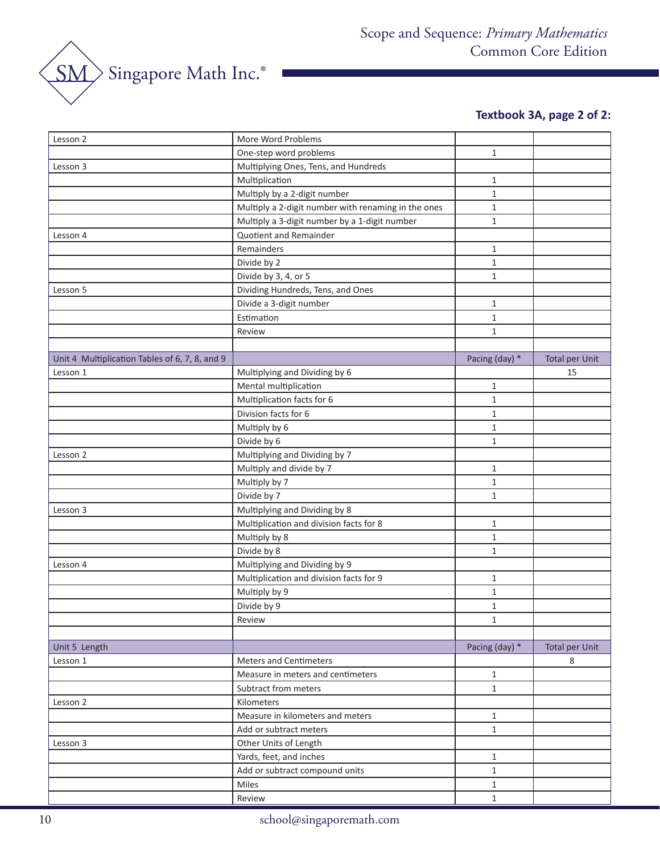SM Singapore Math Inc.®

# **Textbook 3A, page 2 of 2:**

| Lesson 2                                       | More Word Problems                                                 |                              |                       |
|------------------------------------------------|--------------------------------------------------------------------|------------------------------|-----------------------|
|                                                | One-step word problems                                             | $\mathbf{1}$                 |                       |
| Lesson 3                                       | Multiplying Ones, Tens, and Hundreds                               |                              |                       |
|                                                | Multiplication                                                     | $\mathbf{1}$                 |                       |
|                                                | Multiply by a 2-digit number                                       | $\mathbf{1}$                 |                       |
|                                                | Multiply a 2-digit number with renaming in the ones                | $\mathbf{1}$                 |                       |
|                                                | Multiply a 3-digit number by a 1-digit number                      | $\mathbf 1$                  |                       |
| Lesson 4                                       | Quotient and Remainder                                             |                              |                       |
|                                                | Remainders                                                         | $\mathbf{1}$                 |                       |
|                                                | Divide by 2                                                        | $\mathbf{1}$                 |                       |
|                                                | Divide by 3, 4, or 5                                               | $\mathbf{1}$                 |                       |
| Lesson 5                                       | Dividing Hundreds, Tens, and Ones                                  |                              |                       |
|                                                | Divide a 3-digit number                                            | $\mathbf{1}$                 |                       |
|                                                | Estimation                                                         | $\mathbf{1}$                 |                       |
|                                                | Review                                                             | $\mathbf{1}$                 |                       |
|                                                |                                                                    |                              |                       |
| Unit 4 Multiplication Tables of 6, 7, 8, and 9 |                                                                    | Pacing (day) *               | <b>Total per Unit</b> |
| Lesson 1                                       | Multiplying and Dividing by 6                                      |                              | 15                    |
|                                                | Mental multiplication                                              | $\mathbf{1}$                 |                       |
|                                                | Multiplication facts for 6                                         | $\mathbf{1}$                 |                       |
|                                                | Division facts for 6                                               | $\mathbf{1}$                 |                       |
|                                                | Multiply by 6                                                      | $\mathbf{1}$                 |                       |
|                                                | Divide by 6                                                        | $\mathbf{1}$                 |                       |
| Lesson 2                                       | Multiplying and Dividing by 7                                      |                              |                       |
|                                                | Multiply and divide by 7                                           | $\mathbf{1}$                 |                       |
|                                                | Multiply by 7                                                      | $\mathbf{1}$                 |                       |
|                                                | Divide by 7                                                        | $\mathbf{1}$                 |                       |
| Lesson 3                                       | Multiplying and Dividing by 8                                      |                              |                       |
|                                                | Multiplication and division facts for 8                            | $\mathbf{1}$                 |                       |
|                                                | Multiply by 8                                                      | $\mathbf{1}$                 |                       |
|                                                | Divide by 8                                                        | $\mathbf 1$                  |                       |
| Lesson 4                                       | Multiplying and Dividing by 9                                      |                              |                       |
|                                                | Multiplication and division facts for 9                            | 1                            |                       |
|                                                | Multiply by 9                                                      | $\mathbf{1}$                 |                       |
|                                                | Divide by 9                                                        | $\mathbf{1}$                 |                       |
|                                                | Review                                                             | $\mathbf{1}$                 |                       |
|                                                |                                                                    |                              |                       |
| Unit 5 Length                                  |                                                                    | Pacing (day) *               | <b>Total per Unit</b> |
| Lesson 1                                       | <b>Meters and Centimeters</b><br>Measure in meters and centimeters |                              | 8                     |
|                                                | Subtract from meters                                               | $\mathbf{1}$<br>$\mathbf{1}$ |                       |
| Lesson 2                                       | Kilometers                                                         |                              |                       |
|                                                | Measure in kilometers and meters                                   | $\mathbf{1}$                 |                       |
|                                                | Add or subtract meters                                             | $\mathbf{1}$                 |                       |
| Lesson 3                                       | Other Units of Length                                              |                              |                       |
|                                                | Yards, feet, and inches                                            | $\mathbf{1}$                 |                       |
|                                                | Add or subtract compound units                                     | $\mathbf{1}$                 |                       |
|                                                | Miles                                                              | $\mathbf{1}$                 |                       |
|                                                | Review                                                             | $\mathbf{1}$                 |                       |
|                                                |                                                                    |                              |                       |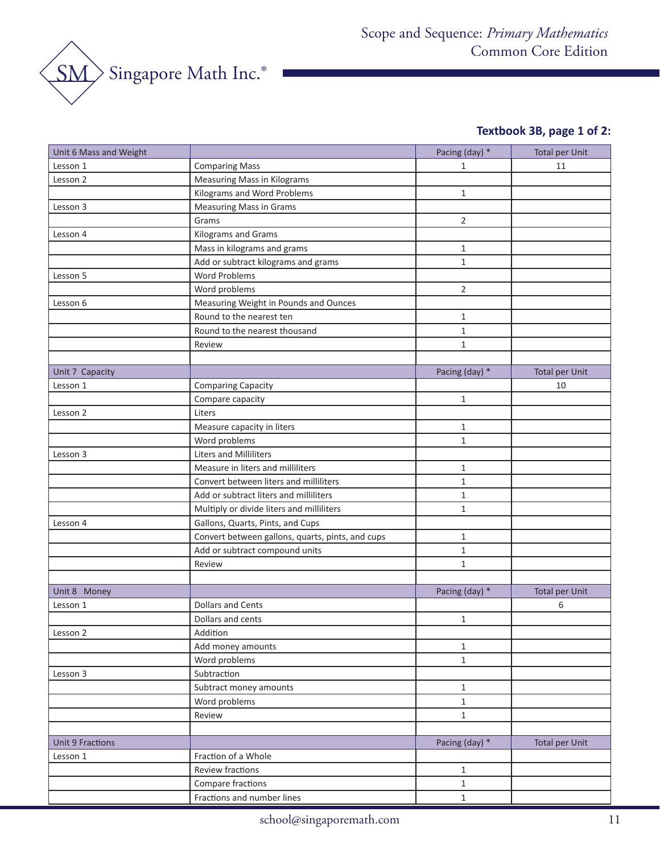

# **Textbook 3B, page 1 of 2:**

| Unit 6 Mass and Weight  |                                                  | Pacing (day) * | <b>Total per Unit</b> |
|-------------------------|--------------------------------------------------|----------------|-----------------------|
| Lesson 1                | <b>Comparing Mass</b>                            | $\mathbf{1}$   | 11                    |
| Lesson 2                | <b>Measuring Mass in Kilograms</b>               |                |                       |
|                         | Kilograms and Word Problems                      | $\mathbf{1}$   |                       |
| Lesson 3                | <b>Measuring Mass in Grams</b>                   |                |                       |
|                         | Grams                                            | $\overline{2}$ |                       |
| Lesson 4                | Kilograms and Grams                              |                |                       |
|                         | Mass in kilograms and grams                      | $\mathbf{1}$   |                       |
|                         | Add or subtract kilograms and grams              | $\mathbf{1}$   |                       |
| Lesson 5                | Word Problems                                    |                |                       |
|                         | Word problems                                    | $\overline{2}$ |                       |
| Lesson 6                | Measuring Weight in Pounds and Ounces            |                |                       |
|                         | Round to the nearest ten                         | $\mathbf{1}$   |                       |
|                         | Round to the nearest thousand                    | $\mathbf{1}$   |                       |
|                         | Review                                           | $\mathbf{1}$   |                       |
|                         |                                                  |                |                       |
| Unit 7 Capacity         |                                                  | Pacing (day) * | <b>Total per Unit</b> |
| Lesson 1                | <b>Comparing Capacity</b>                        |                | 10                    |
|                         | Compare capacity                                 | $\mathbf{1}$   |                       |
| Lesson 2                | Liters                                           |                |                       |
|                         | Measure capacity in liters                       | $\mathbf{1}$   |                       |
|                         | Word problems                                    | $\mathbf{1}$   |                       |
| Lesson 3                | Liters and Milliliters                           |                |                       |
|                         | Measure in liters and milliliters                | $\mathbf{1}$   |                       |
|                         | Convert between liters and milliliters           | $\mathbf{1}$   |                       |
|                         | Add or subtract liters and milliliters           | $\mathbf{1}$   |                       |
|                         | Multiply or divide liters and milliliters        | $\mathbf{1}$   |                       |
| Lesson 4                | Gallons, Quarts, Pints, and Cups                 |                |                       |
|                         | Convert between gallons, quarts, pints, and cups | $\mathbf{1}$   |                       |
|                         | Add or subtract compound units                   | $\mathbf{1}$   |                       |
|                         | Review                                           | $\mathbf{1}$   |                       |
|                         |                                                  |                |                       |
| Unit 8 Money            |                                                  | Pacing (day) * | <b>Total per Unit</b> |
| Lesson 1                | <b>Dollars and Cents</b>                         |                | 6                     |
|                         | Dollars and cents                                | $\mathbf{1}$   |                       |
| Lesson 2                | Addition                                         |                |                       |
|                         | Add money amounts                                | $\mathbf{1}$   |                       |
|                         | Word problems                                    | $\mathbf{1}$   |                       |
| Lesson 3                | Subtraction                                      |                |                       |
|                         | Subtract money amounts                           | $\mathbf{1}$   |                       |
|                         | Word problems                                    | $\mathbf{1}$   |                       |
|                         | Review                                           | $\mathbf{1}$   |                       |
|                         |                                                  |                |                       |
| <b>Unit 9 Fractions</b> |                                                  | Pacing (day) * | <b>Total per Unit</b> |
| Lesson 1                | Fraction of a Whole                              |                |                       |
|                         | Review fractions                                 | $\mathbf{1}$   |                       |
|                         | Compare fractions                                | $\mathbf{1}$   |                       |
|                         | Fractions and number lines                       | $\mathbf{1}$   |                       |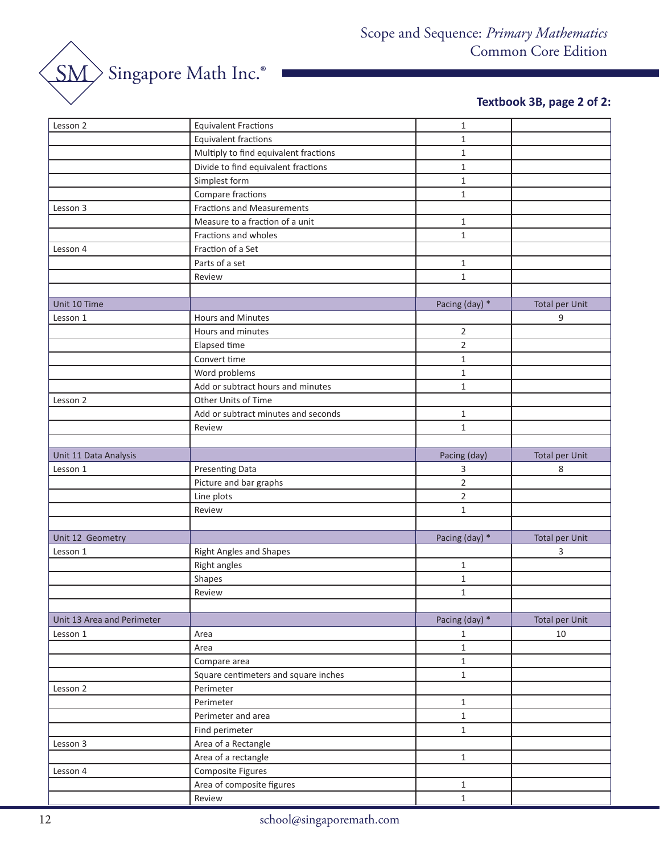

# **Textbook 3B, page 2 of 2:**

| Lesson 2<br><b>Equivalent Fractions</b><br>$\mathbf{1}$<br><b>Equivalent fractions</b><br>$\mathbf{1}$<br>Multiply to find equivalent fractions<br>$\mathbf 1$<br>Divide to find equivalent fractions<br>$\mathbf{1}$<br>Simplest form<br>$\mathbf{1}$ |
|--------------------------------------------------------------------------------------------------------------------------------------------------------------------------------------------------------------------------------------------------------|
|                                                                                                                                                                                                                                                        |
|                                                                                                                                                                                                                                                        |
|                                                                                                                                                                                                                                                        |
|                                                                                                                                                                                                                                                        |
| Compare fractions<br>$\mathbf{1}$                                                                                                                                                                                                                      |
| <b>Fractions and Measurements</b><br>Lesson 3                                                                                                                                                                                                          |
| Measure to a fraction of a unit<br>$\mathbf{1}$                                                                                                                                                                                                        |
| $\mathbf{1}$<br>Fractions and wholes                                                                                                                                                                                                                   |
| Fraction of a Set<br>Lesson 4                                                                                                                                                                                                                          |
| Parts of a set<br>$\,1\,$                                                                                                                                                                                                                              |
| $\mathbf{1}$<br>Review                                                                                                                                                                                                                                 |
|                                                                                                                                                                                                                                                        |
| Pacing (day) *<br><b>Total per Unit</b><br>Unit 10 Time                                                                                                                                                                                                |
| 9<br><b>Hours and Minutes</b><br>Lesson 1                                                                                                                                                                                                              |
| $\mathbf 2$<br>Hours and minutes                                                                                                                                                                                                                       |
| $\overline{2}$<br>Elapsed time                                                                                                                                                                                                                         |
| Convert time<br>$\mathbf{1}$                                                                                                                                                                                                                           |
| $\mathbf 1$<br>Word problems                                                                                                                                                                                                                           |
| Add or subtract hours and minutes<br>$\mathbf{1}$                                                                                                                                                                                                      |
| Other Units of Time<br>Lesson 2                                                                                                                                                                                                                        |
| Add or subtract minutes and seconds<br>$\mathbf{1}$                                                                                                                                                                                                    |
| $\mathbf 1$<br>Review                                                                                                                                                                                                                                  |
|                                                                                                                                                                                                                                                        |
| Pacing (day)<br><b>Total per Unit</b><br>Unit 11 Data Analysis                                                                                                                                                                                         |
| Presenting Data<br>3<br>Lesson 1<br>8                                                                                                                                                                                                                  |
| $\overline{2}$<br>Picture and bar graphs                                                                                                                                                                                                               |
| $\mathbf 2$<br>Line plots                                                                                                                                                                                                                              |
| $\,1\,$<br>Review                                                                                                                                                                                                                                      |
|                                                                                                                                                                                                                                                        |
| Pacing (day) *<br>Unit 12 Geometry<br><b>Total per Unit</b>                                                                                                                                                                                            |
| <b>Right Angles and Shapes</b><br>3<br>Lesson 1                                                                                                                                                                                                        |
| Right angles<br>$\mathbf{1}$                                                                                                                                                                                                                           |
| $\mathbf 1$<br>Shapes                                                                                                                                                                                                                                  |
| $\mathbf 1$<br>Review                                                                                                                                                                                                                                  |
|                                                                                                                                                                                                                                                        |
| Pacing (day) *<br><b>Total per Unit</b><br>Unit 13 Area and Perimeter                                                                                                                                                                                  |
| Lesson 1<br>Area<br>10<br>$\mathbf{1}$                                                                                                                                                                                                                 |
| $\,1\,$<br>Area                                                                                                                                                                                                                                        |
| $\,1\,$<br>Compare area                                                                                                                                                                                                                                |
| $\,1\,$<br>Square centimeters and square inches                                                                                                                                                                                                        |
| Lesson 2<br>Perimeter                                                                                                                                                                                                                                  |
| $\,1\,$<br>Perimeter                                                                                                                                                                                                                                   |
| $\,1\,$<br>Perimeter and area                                                                                                                                                                                                                          |
| $\,1\,$<br>Find perimeter                                                                                                                                                                                                                              |
| Area of a Rectangle<br>Lesson 3                                                                                                                                                                                                                        |
| Area of a rectangle<br>$\,1\,$                                                                                                                                                                                                                         |
| Composite Figures<br>Lesson 4                                                                                                                                                                                                                          |
| Area of composite figures<br>$\mathbf{1}$                                                                                                                                                                                                              |
| $\mathbf 1$<br>Review                                                                                                                                                                                                                                  |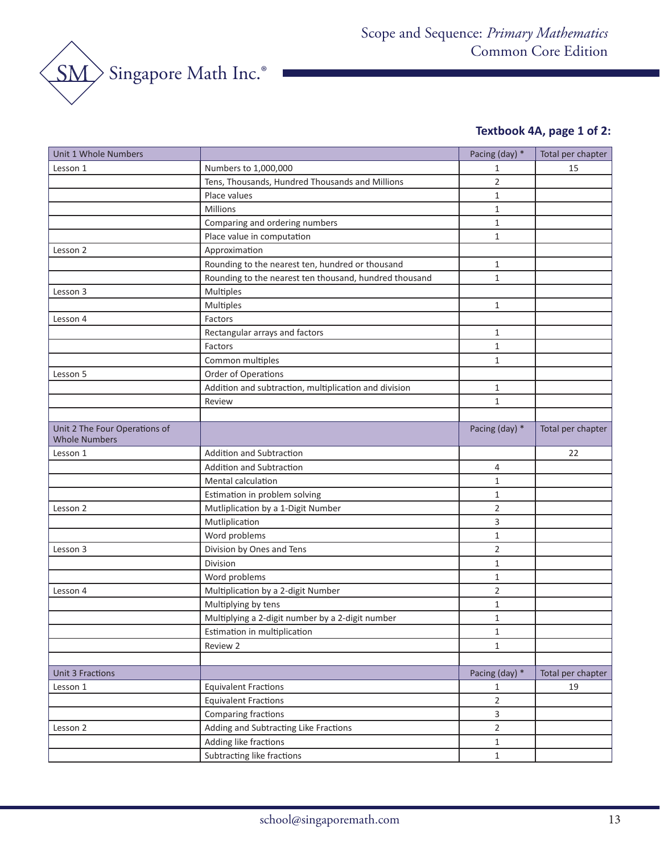

# **Textbook 4A, page 1 of 2:**

| Unit 1 Whole Numbers                                  |                                                        | Pacing (day) * | Total per chapter |
|-------------------------------------------------------|--------------------------------------------------------|----------------|-------------------|
| Lesson 1                                              | Numbers to 1,000,000                                   | 1              | 15                |
|                                                       | Tens, Thousands, Hundred Thousands and Millions        | $\overline{2}$ |                   |
|                                                       | Place values                                           | $\mathbf{1}$   |                   |
|                                                       | Millions                                               | $\mathbf{1}$   |                   |
|                                                       | Comparing and ordering numbers                         | $\mathbf{1}$   |                   |
|                                                       | Place value in computation                             | $\mathbf{1}$   |                   |
| Lesson 2                                              | Approximation                                          |                |                   |
|                                                       | Rounding to the nearest ten, hundred or thousand       | $\mathbf{1}$   |                   |
|                                                       | Rounding to the nearest ten thousand, hundred thousand | $\mathbf{1}$   |                   |
| Lesson 3                                              | Multiples                                              |                |                   |
|                                                       | Multiples                                              | $\mathbf{1}$   |                   |
| Lesson 4                                              | Factors                                                |                |                   |
|                                                       | Rectangular arrays and factors                         | $\mathbf{1}$   |                   |
|                                                       | Factors                                                | $\mathbf{1}$   |                   |
|                                                       | Common multiples                                       | $\mathbf{1}$   |                   |
| Lesson 5                                              | Order of Operations                                    |                |                   |
|                                                       | Addition and subtraction, multiplication and division  | $\mathbf{1}$   |                   |
|                                                       | Review                                                 | $\mathbf{1}$   |                   |
|                                                       |                                                        |                |                   |
| Unit 2 The Four Operations of<br><b>Whole Numbers</b> |                                                        | Pacing (day) * | Total per chapter |
| Lesson 1                                              | Addition and Subtraction                               |                | 22                |
|                                                       | <b>Addition and Subtraction</b>                        | 4              |                   |
|                                                       | Mental calculation                                     | 1              |                   |
|                                                       | Estimation in problem solving                          | $\mathbf{1}$   |                   |
| Lesson 2                                              | Mutliplication by a 1-Digit Number                     | $\overline{2}$ |                   |
|                                                       | Mutliplication                                         | 3              |                   |
|                                                       | Word problems                                          | 1              |                   |
| Lesson 3                                              | Division by Ones and Tens                              | $\overline{2}$ |                   |
|                                                       | Division                                               | $\mathbf 1$    |                   |
|                                                       | Word problems                                          | $\mathbf{1}$   |                   |
| Lesson 4                                              | Multiplication by a 2-digit Number                     | $\overline{2}$ |                   |
|                                                       | Multiplying by tens                                    | $\mathbf{1}$   |                   |
|                                                       | Multiplying a 2-digit number by a 2-digit number       | $\mathbf{1}$   |                   |
|                                                       | Estimation in multiplication                           | 1              |                   |
|                                                       | Review 2                                               | $\mathbf{1}$   |                   |
|                                                       |                                                        |                |                   |
| <b>Unit 3 Fractions</b>                               |                                                        | Pacing (day) * | Total per chapter |
| Lesson 1                                              | <b>Equivalent Fractions</b>                            | 1              | 19                |
|                                                       | <b>Equivalent Fractions</b>                            | $\overline{2}$ |                   |
|                                                       | Comparing fractions                                    | 3              |                   |
| Lesson 2                                              | Adding and Subtracting Like Fractions                  | $\overline{2}$ |                   |
|                                                       | Adding like fractions                                  | $\mathbf{1}$   |                   |
|                                                       | Subtracting like fractions                             | $\mathbf{1}$   |                   |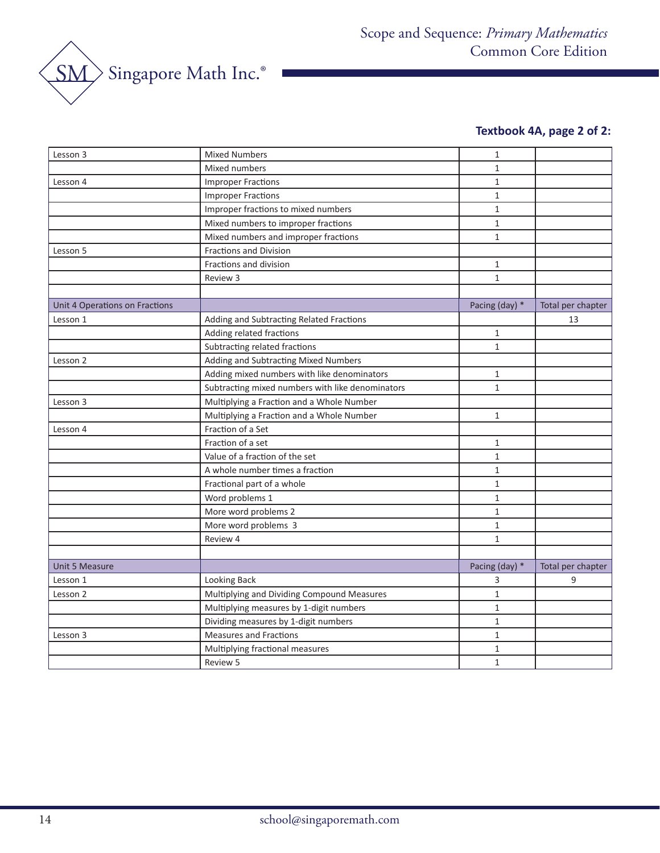

# **Textbook 4A, page 2 of 2:**

| Lesson 3                       | <b>Mixed Numbers</b>                             | $\mathbf{1}$   |                   |
|--------------------------------|--------------------------------------------------|----------------|-------------------|
|                                | Mixed numbers                                    | $\mathbf{1}$   |                   |
| Lesson 4                       | <b>Improper Fractions</b>                        | $\mathbf{1}$   |                   |
|                                | <b>Improper Fractions</b>                        | $\mathbf{1}$   |                   |
|                                | Improper fractions to mixed numbers              | $\mathbf{1}$   |                   |
|                                | Mixed numbers to improper fractions              | $\mathbf{1}$   |                   |
|                                | Mixed numbers and improper fractions             | $\mathbf{1}$   |                   |
| Lesson 5                       | <b>Fractions and Division</b>                    |                |                   |
|                                | Fractions and division                           | $\mathbf{1}$   |                   |
|                                | Review 3                                         | $\mathbf{1}$   |                   |
|                                |                                                  |                |                   |
| Unit 4 Operations on Fractions |                                                  | Pacing (day) * | Total per chapter |
| Lesson 1                       | Adding and Subtracting Related Fractions         |                | 13                |
|                                | Adding related fractions                         | $\mathbf{1}$   |                   |
|                                | Subtracting related fractions                    | $\mathbf{1}$   |                   |
| Lesson 2                       | Adding and Subtracting Mixed Numbers             |                |                   |
|                                | Adding mixed numbers with like denominators      | $\mathbf{1}$   |                   |
|                                | Subtracting mixed numbers with like denominators | $\mathbf{1}$   |                   |
| Lesson 3                       | Multiplying a Fraction and a Whole Number        |                |                   |
|                                | Multiplying a Fraction and a Whole Number        | $\mathbf{1}$   |                   |
| Lesson 4                       | Fraction of a Set                                |                |                   |
|                                | Fraction of a set                                | $\mathbf{1}$   |                   |
|                                | Value of a fraction of the set                   | $\mathbf{1}$   |                   |
|                                | A whole number times a fraction                  | $\mathbf{1}$   |                   |
|                                | Fractional part of a whole                       | $\mathbf{1}$   |                   |
|                                | Word problems 1                                  | $\mathbf{1}$   |                   |
|                                | More word problems 2                             | $\mathbf{1}$   |                   |
|                                | More word problems 3                             | $\mathbf{1}$   |                   |
|                                | Review 4                                         | $\mathbf{1}$   |                   |
|                                |                                                  |                |                   |
| <b>Unit 5 Measure</b>          |                                                  | Pacing (day) * | Total per chapter |
| Lesson 1                       | Looking Back                                     | 3              | 9                 |
| Lesson 2                       | Multiplying and Dividing Compound Measures       | $\mathbf{1}$   |                   |
|                                | Multiplying measures by 1-digit numbers          | $\mathbf{1}$   |                   |
|                                | Dividing measures by 1-digit numbers             | $\mathbf{1}$   |                   |
| Lesson 3                       | <b>Measures and Fractions</b>                    | $\mathbf{1}$   |                   |
|                                | Multiplying fractional measures                  | $\mathbf{1}$   |                   |
|                                | Review 5                                         | $\mathbf{1}$   |                   |
|                                |                                                  |                |                   |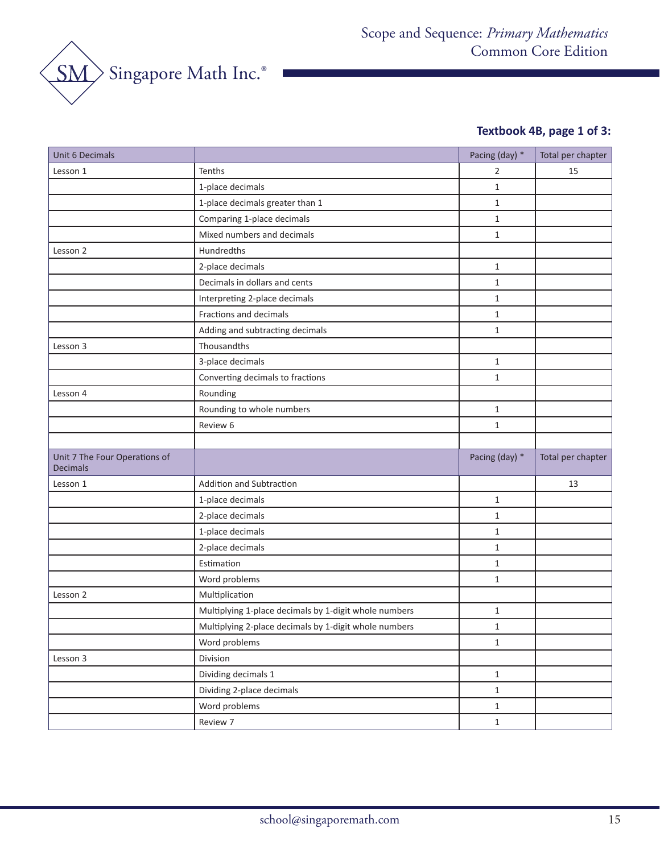

# **Textbook 4B, page 1 of 3:**

| Unit 6 Decimals                                  |                                                       | Pacing (day) * | Total per chapter |
|--------------------------------------------------|-------------------------------------------------------|----------------|-------------------|
| Lesson 1                                         | Tenths                                                | 2              | 15                |
|                                                  | 1-place decimals                                      | $\mathbf{1}$   |                   |
|                                                  | 1-place decimals greater than 1                       | $\mathbf{1}$   |                   |
|                                                  | Comparing 1-place decimals                            | $\mathbf{1}$   |                   |
|                                                  | Mixed numbers and decimals                            | $\mathbf{1}$   |                   |
| Lesson 2                                         | Hundredths                                            |                |                   |
|                                                  | 2-place decimals                                      | $\mathbf{1}$   |                   |
|                                                  | Decimals in dollars and cents                         | $\mathbf{1}$   |                   |
|                                                  | Interpreting 2-place decimals                         | $\mathbf{1}$   |                   |
|                                                  | Fractions and decimals                                | $\mathbf{1}$   |                   |
|                                                  | Adding and subtracting decimals                       | $\mathbf{1}$   |                   |
| Lesson 3                                         | Thousandths                                           |                |                   |
|                                                  | 3-place decimals                                      | $\mathbf{1}$   |                   |
|                                                  | Converting decimals to fractions                      | $\mathbf{1}$   |                   |
| Lesson 4                                         | Rounding                                              |                |                   |
|                                                  | Rounding to whole numbers                             | $\mathbf{1}$   |                   |
|                                                  | Review 6                                              | $\mathbf{1}$   |                   |
|                                                  |                                                       |                |                   |
| Unit 7 The Four Operations of<br><b>Decimals</b> |                                                       | Pacing (day) * | Total per chapter |
| Lesson 1                                         | Addition and Subtraction                              |                | 13                |
|                                                  | 1-place decimals                                      | $\mathbf{1}$   |                   |
|                                                  | 2-place decimals                                      | $\mathbf{1}$   |                   |
|                                                  | 1-place decimals                                      | $\mathbf{1}$   |                   |
|                                                  | 2-place decimals                                      | $\mathbf{1}$   |                   |
|                                                  | Estimation                                            | $\mathbf{1}$   |                   |
|                                                  | Word problems                                         | $\mathbf{1}$   |                   |
| Lesson 2                                         | Multiplication                                        |                |                   |
|                                                  | Multiplying 1-place decimals by 1-digit whole numbers | $\mathbf{1}$   |                   |
|                                                  | Multiplying 2-place decimals by 1-digit whole numbers | $\mathbf 1$    |                   |
|                                                  | Word problems                                         | $\mathbf{1}$   |                   |
| Lesson 3                                         | Division                                              |                |                   |
|                                                  | Dividing decimals 1                                   | $1\,$          |                   |
|                                                  | Dividing 2-place decimals                             | $\mathbf{1}$   |                   |
|                                                  | Word problems                                         | $\mathbf{1}$   |                   |
|                                                  | Review 7                                              | $\mathbf{1}$   |                   |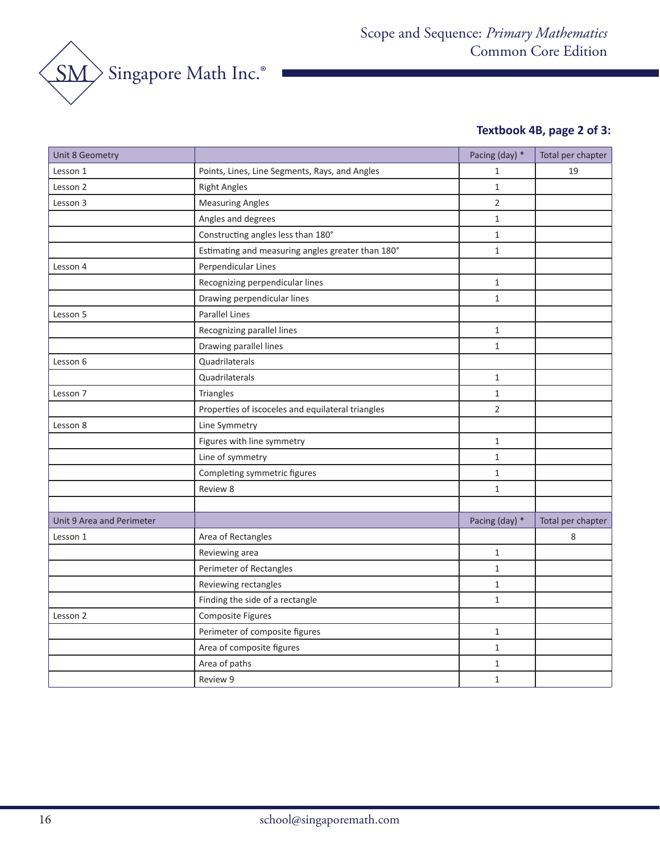

# **Textbook 4B, page 2 of 3:**

| Unit 8 Geometry           |                                                   | Pacing (day) * | Total per chapter |
|---------------------------|---------------------------------------------------|----------------|-------------------|
| Lesson 1                  | Points, Lines, Line Segments, Rays, and Angles    | $\mathbf{1}$   | 19                |
| Lesson 2                  | <b>Right Angles</b>                               | $\mathbf{1}$   |                   |
| Lesson 3                  | <b>Measuring Angles</b>                           | $\overline{2}$ |                   |
|                           | Angles and degrees                                | $\mathbf{1}$   |                   |
|                           | Constructing angles less than 180°                | $1\,$          |                   |
|                           | Estimating and measuring angles greater than 180° | $\mathbf{1}$   |                   |
| Lesson 4                  | Perpendicular Lines                               |                |                   |
|                           | Recognizing perpendicular lines                   | $1\,$          |                   |
|                           | Drawing perpendicular lines                       | $\mathbf{1}$   |                   |
| Lesson 5                  | <b>Parallel Lines</b>                             |                |                   |
|                           | Recognizing parallel lines                        | $\mathbf{1}$   |                   |
|                           | Drawing parallel lines                            | $\mathbf 1$    |                   |
| Lesson 6                  | Quadrilaterals                                    |                |                   |
|                           | Quadrilaterals                                    | $1\,$          |                   |
| Lesson 7                  | Triangles                                         | $\mathbf{1}$   |                   |
|                           | Properties of iscoceles and equilateral triangles | $\overline{2}$ |                   |
| Lesson 8                  | Line Symmetry                                     |                |                   |
|                           | Figures with line symmetry                        | $\mathbf{1}$   |                   |
|                           | Line of symmetry                                  | $1\,$          |                   |
|                           | Completing symmetric figures                      | $\mathbf{1}$   |                   |
|                           | Review 8                                          | $\mathbf{1}$   |                   |
|                           |                                                   |                |                   |
| Unit 9 Area and Perimeter |                                                   | Pacing (day) * | Total per chapter |
| Lesson 1                  | Area of Rectangles                                |                | 8                 |
|                           | Reviewing area                                    | $\mathbf 1$    |                   |
|                           | Perimeter of Rectangles                           | $\mathbf{1}$   |                   |
|                           | Reviewing rectangles                              | $\mathbf{1}$   |                   |
|                           | Finding the side of a rectangle                   | $\mathbf{1}$   |                   |
| Lesson 2                  | Composite Figures                                 |                |                   |
|                           | Perimeter of composite figures                    | $1\,$          |                   |
|                           | Area of composite figures                         | $\mathbf{1}$   |                   |
|                           | Area of paths                                     | $\mathbf{1}$   |                   |
|                           | Review 9                                          | $1\,$          |                   |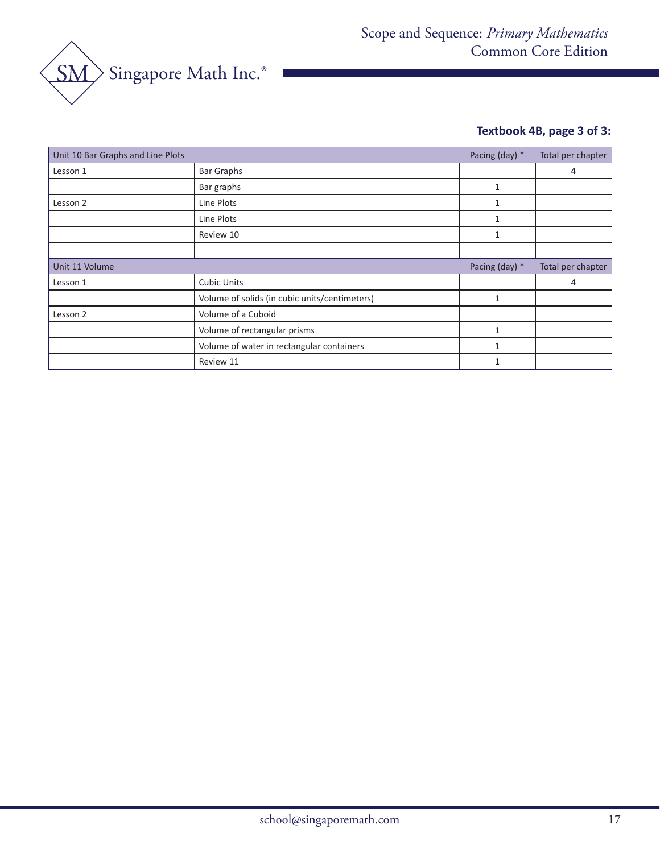

# **Textbook 4B, page 3 of 3:**

| Unit 10 Bar Graphs and Line Plots |                                               | Pacing (day) * | Total per chapter |
|-----------------------------------|-----------------------------------------------|----------------|-------------------|
| Lesson 1                          | <b>Bar Graphs</b>                             |                | 4                 |
|                                   | Bar graphs                                    | 1              |                   |
| Lesson 2                          | Line Plots                                    | 1              |                   |
|                                   | Line Plots                                    | 1              |                   |
|                                   | Review 10                                     | 1              |                   |
|                                   |                                               |                |                   |
| Unit 11 Volume                    |                                               | Pacing (day) * | Total per chapter |
| Lesson 1                          | <b>Cubic Units</b>                            |                | 4                 |
|                                   | Volume of solids (in cubic units/centimeters) | 1              |                   |
| Lesson 2                          | Volume of a Cuboid                            |                |                   |
|                                   | Volume of rectangular prisms                  | 1              |                   |
|                                   | Volume of water in rectangular containers     | 1              |                   |
|                                   | Review 11                                     | 1              |                   |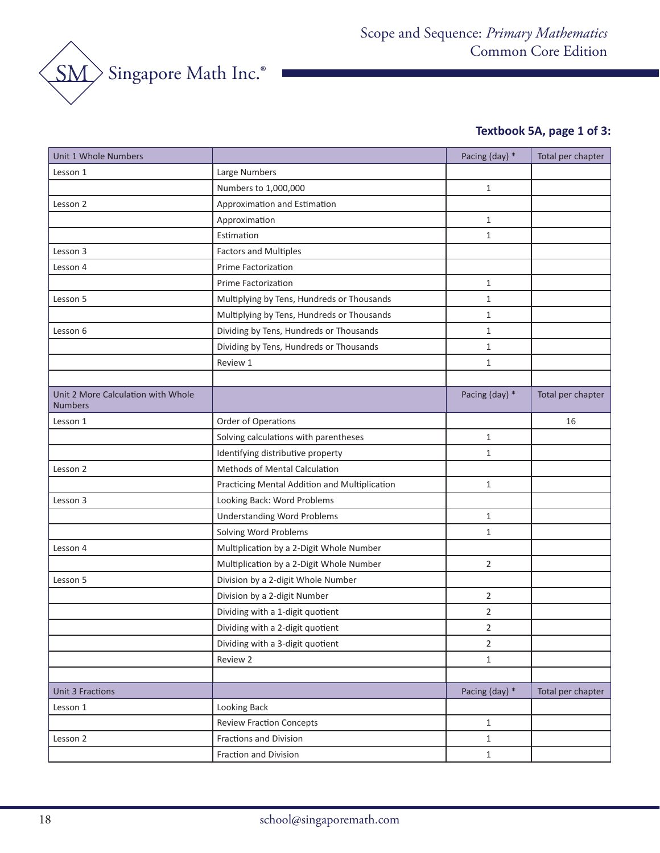

# **Textbook 5A, page 1 of 3:**

| Unit 1 Whole Numbers                                 |                                               | Pacing (day) *          | Total per chapter |
|------------------------------------------------------|-----------------------------------------------|-------------------------|-------------------|
| Lesson 1                                             | Large Numbers                                 |                         |                   |
|                                                      | Numbers to 1,000,000                          | $\mathbf{1}$            |                   |
| Lesson 2                                             | Approximation and Estimation                  |                         |                   |
|                                                      | Approximation                                 | 1                       |                   |
|                                                      | Estimation                                    | $\mathbf{1}$            |                   |
| Lesson 3                                             | <b>Factors and Multiples</b>                  |                         |                   |
| Lesson 4                                             | Prime Factorization                           |                         |                   |
|                                                      | <b>Prime Factorization</b>                    | $\mathbf{1}$            |                   |
| Lesson 5                                             | Multiplying by Tens, Hundreds or Thousands    | 1                       |                   |
|                                                      | Multiplying by Tens, Hundreds or Thousands    | $\mathbf{1}$            |                   |
| Lesson 6                                             | Dividing by Tens, Hundreds or Thousands       | 1                       |                   |
|                                                      | Dividing by Tens, Hundreds or Thousands       | 1                       |                   |
|                                                      | Review 1                                      | 1                       |                   |
|                                                      |                                               |                         |                   |
| Unit 2 More Calculation with Whole<br><b>Numbers</b> |                                               | Pacing (day) *          | Total per chapter |
| Lesson 1                                             | Order of Operations                           |                         | 16                |
|                                                      | Solving calculations with parentheses         | 1                       |                   |
|                                                      | Identifying distributive property             | 1                       |                   |
| Lesson 2                                             | Methods of Mental Calculation                 |                         |                   |
|                                                      | Practicing Mental Addition and Multiplication | $\mathbf{1}$            |                   |
| Lesson 3                                             | Looking Back: Word Problems                   |                         |                   |
|                                                      | <b>Understanding Word Problems</b>            | 1                       |                   |
|                                                      | Solving Word Problems                         | $\mathbf{1}$            |                   |
| Lesson 4                                             | Multiplication by a 2-Digit Whole Number      |                         |                   |
|                                                      | Multiplication by a 2-Digit Whole Number      | $\overline{2}$          |                   |
| Lesson 5                                             | Division by a 2-digit Whole Number            |                         |                   |
|                                                      | Division by a 2-digit Number                  | $\overline{2}$          |                   |
|                                                      | Dividing with a 1-digit quotient              | 2                       |                   |
|                                                      | Dividing with a 2-digit quotient              | $\overline{\mathbf{c}}$ |                   |
|                                                      | Dividing with a 3-digit quotient              | $\overline{2}$          |                   |
|                                                      | Review 2                                      | $\mathbf{1}$            |                   |
|                                                      |                                               |                         |                   |
| <b>Unit 3 Fractions</b>                              |                                               | Pacing (day) *          | Total per chapter |
| Lesson 1                                             | Looking Back                                  |                         |                   |
|                                                      | <b>Review Fraction Concepts</b>               | $\mathbf{1}$            |                   |
| Lesson 2                                             | <b>Fractions and Division</b>                 | $\mathbf{1}$            |                   |
|                                                      | Fraction and Division                         | $\mathbf{1}$            |                   |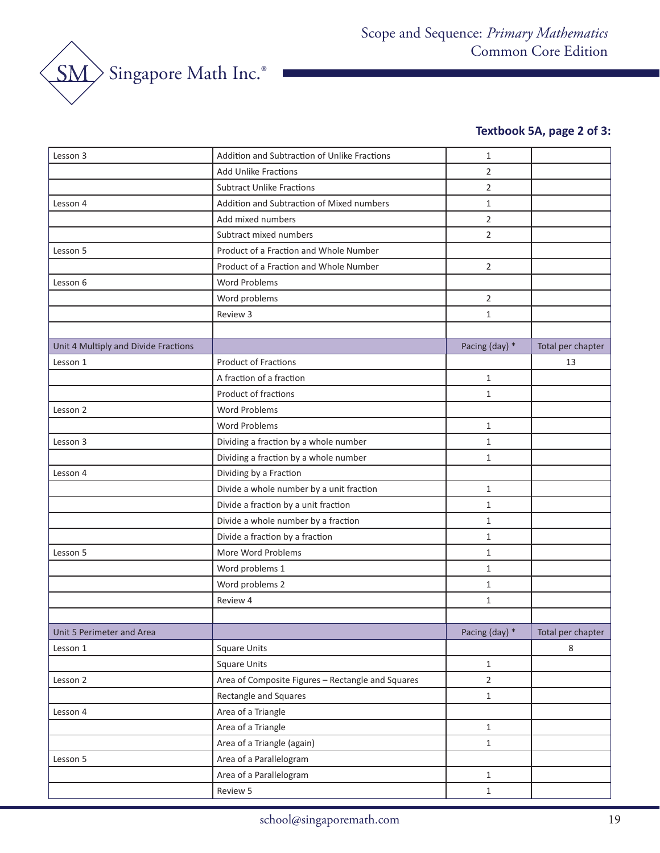

# **Textbook 5A, page 2 of 3:**

| Lesson 3                             | Addition and Subtraction of Unlike Fractions      | $\mathbf{1}$   |                   |
|--------------------------------------|---------------------------------------------------|----------------|-------------------|
|                                      | <b>Add Unlike Fractions</b>                       | $\overline{2}$ |                   |
|                                      | <b>Subtract Unlike Fractions</b>                  | 2              |                   |
| Lesson 4                             | Addition and Subtraction of Mixed numbers         | $\mathbf{1}$   |                   |
|                                      | Add mixed numbers                                 | 2              |                   |
|                                      | Subtract mixed numbers                            | 2              |                   |
| Lesson 5                             | Product of a Fraction and Whole Number            |                |                   |
|                                      | Product of a Fraction and Whole Number            | $\overline{2}$ |                   |
| Lesson 6                             | <b>Word Problems</b>                              |                |                   |
|                                      | Word problems                                     | 2              |                   |
|                                      | Review 3                                          | $\mathbf{1}$   |                   |
|                                      |                                                   |                |                   |
| Unit 4 Multiply and Divide Fractions |                                                   | Pacing (day) * | Total per chapter |
| Lesson 1                             | <b>Product of Fractions</b>                       |                | 13                |
|                                      | A fraction of a fraction                          | $\mathbf{1}$   |                   |
|                                      | Product of fractions                              | $\mathbf{1}$   |                   |
| Lesson 2                             | <b>Word Problems</b>                              |                |                   |
|                                      | <b>Word Problems</b>                              | $\mathbf{1}$   |                   |
| Lesson 3                             | Dividing a fraction by a whole number             | $\mathbf{1}$   |                   |
|                                      | Dividing a fraction by a whole number             | $\mathbf{1}$   |                   |
| Lesson 4                             | Dividing by a Fraction                            |                |                   |
|                                      | Divide a whole number by a unit fraction          | $\mathbf{1}$   |                   |
|                                      | Divide a fraction by a unit fraction              | $\mathbf{1}$   |                   |
|                                      | Divide a whole number by a fraction               | $\mathbf{1}$   |                   |
|                                      | Divide a fraction by a fraction                   | $\mathbf{1}$   |                   |
| Lesson 5                             | More Word Problems                                | $\mathbf{1}$   |                   |
|                                      | Word problems 1                                   | $\mathbf{1}$   |                   |
|                                      | Word problems 2                                   | $\mathbf{1}$   |                   |
|                                      | Review 4                                          | $\mathbf{1}$   |                   |
|                                      |                                                   |                |                   |
| Unit 5 Perimeter and Area            |                                                   | Pacing (day) * | Total per chapter |
| Lesson 1                             | <b>Square Units</b>                               |                | 8                 |
|                                      | <b>Square Units</b>                               | $\mathbf{1}$   |                   |
| Lesson 2                             | Area of Composite Figures - Rectangle and Squares | $\overline{2}$ |                   |
|                                      | Rectangle and Squares                             | $\mathbf{1}$   |                   |
| Lesson 4                             | Area of a Triangle                                |                |                   |
|                                      | Area of a Triangle                                | $\mathbf{1}$   |                   |
|                                      | Area of a Triangle (again)                        | $\mathbf{1}$   |                   |
| Lesson 5                             | Area of a Parallelogram                           |                |                   |
|                                      | Area of a Parallelogram                           | $\mathbf{1}$   |                   |
|                                      | Review 5                                          | $\mathbf{1}$   |                   |
|                                      |                                                   |                |                   |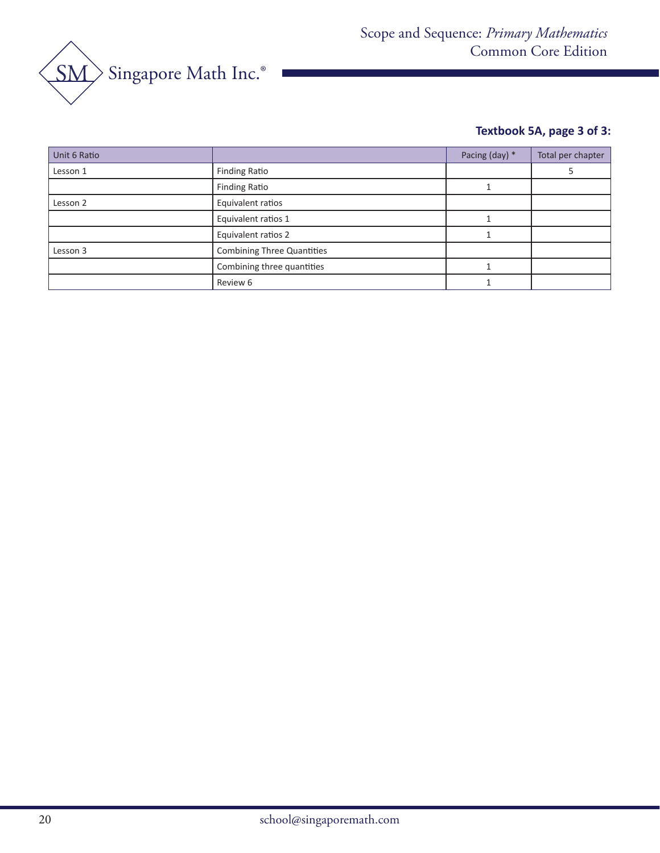

# **Textbook 5A, page 3 of 3:**

| Unit 6 Ratio |                                   | Pacing (day) * | Total per chapter |
|--------------|-----------------------------------|----------------|-------------------|
| Lesson 1     | <b>Finding Ratio</b>              |                |                   |
|              | <b>Finding Ratio</b>              |                |                   |
| Lesson 2     | Equivalent ratios                 |                |                   |
|              | Equivalent ratios 1               |                |                   |
|              | Equivalent ratios 2               |                |                   |
| Lesson 3     | <b>Combining Three Quantities</b> |                |                   |
|              | Combining three quantities        |                |                   |
|              | Review 6                          |                |                   |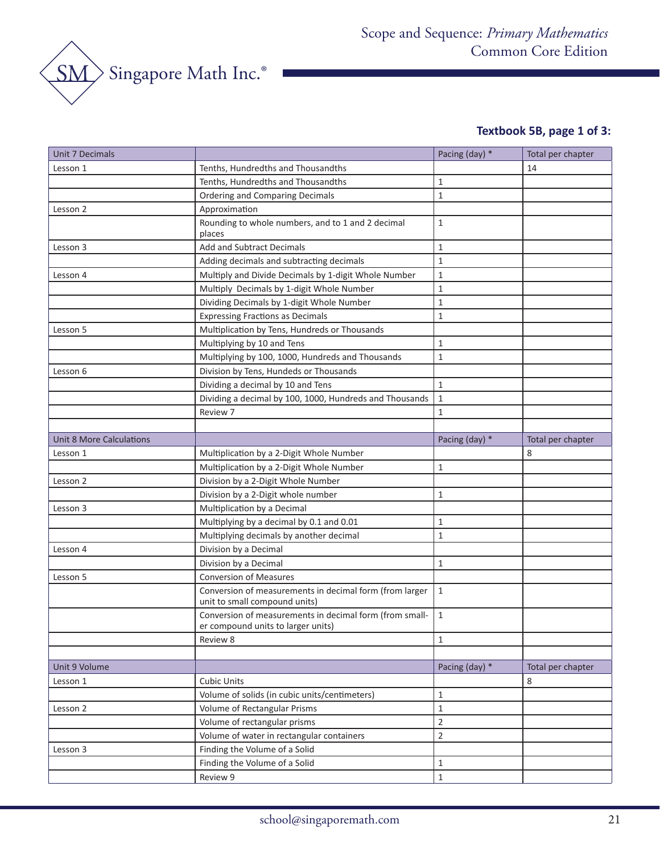

# **Textbook 5B, page 1 of 3:**

| <b>Unit 7 Decimals</b>   |                                                                                               | Pacing (day) * | Total per chapter |
|--------------------------|-----------------------------------------------------------------------------------------------|----------------|-------------------|
| Lesson 1                 | Tenths, Hundredths and Thousandths                                                            |                | 14                |
|                          | Tenths, Hundredths and Thousandths                                                            | 1              |                   |
|                          | <b>Ordering and Comparing Decimals</b>                                                        | $\mathbf{1}$   |                   |
| Lesson 2                 | Approximation                                                                                 |                |                   |
|                          | Rounding to whole numbers, and to 1 and 2 decimal<br>places                                   | $\mathbf{1}$   |                   |
| Lesson 3                 | <b>Add and Subtract Decimals</b>                                                              | $\mathbf{1}$   |                   |
|                          | Adding decimals and subtracting decimals                                                      | $\mathbf{1}$   |                   |
| Lesson 4                 | Multiply and Divide Decimals by 1-digit Whole Number                                          | $\mathbf{1}$   |                   |
|                          | Multiply Decimals by 1-digit Whole Number                                                     | 1              |                   |
|                          | Dividing Decimals by 1-digit Whole Number                                                     | 1              |                   |
|                          | <b>Expressing Fractions as Decimals</b>                                                       | $\mathbf{1}$   |                   |
| Lesson 5                 | Multiplication by Tens, Hundreds or Thousands                                                 |                |                   |
|                          | Multiplying by 10 and Tens                                                                    | $\mathbf{1}$   |                   |
|                          | Multiplying by 100, 1000, Hundreds and Thousands                                              | $\mathbf{1}$   |                   |
| Lesson 6                 | Division by Tens, Hundeds or Thousands                                                        |                |                   |
|                          | Dividing a decimal by 10 and Tens                                                             | $\mathbf{1}$   |                   |
|                          | Dividing a decimal by 100, 1000, Hundreds and Thousands                                       | 1              |                   |
|                          | Review 7                                                                                      | 1              |                   |
|                          |                                                                                               |                |                   |
| Unit 8 More Calculations |                                                                                               | Pacing (day) * | Total per chapter |
| Lesson 1                 | Multiplication by a 2-Digit Whole Number                                                      |                | 8                 |
|                          | Multiplication by a 2-Digit Whole Number                                                      | 1              |                   |
| Lesson 2                 | Division by a 2-Digit Whole Number                                                            |                |                   |
|                          | Division by a 2-Digit whole number                                                            | 1              |                   |
| Lesson 3                 | Multiplication by a Decimal                                                                   |                |                   |
|                          | Multiplying by a decimal by 0.1 and 0.01                                                      | 1              |                   |
|                          | Multiplying decimals by another decimal                                                       | $\mathbf{1}$   |                   |
| Lesson 4                 | Division by a Decimal                                                                         |                |                   |
|                          | Division by a Decimal                                                                         | $\mathbf{1}$   |                   |
| Lesson 5                 | <b>Conversion of Measures</b>                                                                 |                |                   |
|                          | Conversion of measurements in decimal form (from larger<br>unit to small compound units)      | $\mathbf{1}$   |                   |
|                          | Conversion of measurements in decimal form (from small-<br>er compound units to larger units) | $\mathbf{1}$   |                   |
|                          | Review 8                                                                                      | $\mathbf{1}$   |                   |
|                          |                                                                                               |                |                   |
| Unit 9 Volume            |                                                                                               | Pacing (day) * | Total per chapter |
| Lesson 1                 | <b>Cubic Units</b>                                                                            |                | 8                 |
|                          | Volume of solids (in cubic units/centimeters)                                                 | $\mathbf{1}$   |                   |
| Lesson 2                 | Volume of Rectangular Prisms                                                                  | $\mathbf{1}$   |                   |
|                          | Volume of rectangular prisms                                                                  | $\overline{2}$ |                   |
|                          | Volume of water in rectangular containers                                                     | $\overline{2}$ |                   |
| Lesson 3                 | Finding the Volume of a Solid                                                                 |                |                   |
|                          | Finding the Volume of a Solid                                                                 | $\mathbf{1}$   |                   |
|                          | Review 9                                                                                      | $\mathbf 1$    |                   |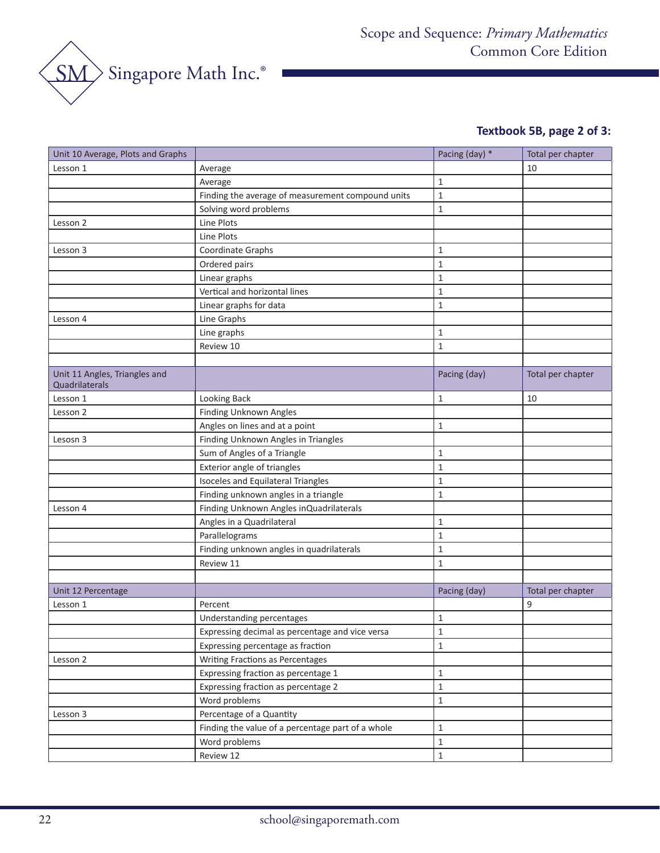

# **Textbook 5B, page 2 of 3:**

| Unit 10 Average, Plots and Graphs               |                                                   | Pacing (day) * | Total per chapter |
|-------------------------------------------------|---------------------------------------------------|----------------|-------------------|
| Lesson 1                                        | Average                                           |                | 10                |
|                                                 | Average                                           | $\mathbf{1}$   |                   |
|                                                 | Finding the average of measurement compound units | $\mathbf{1}$   |                   |
|                                                 | Solving word problems                             | $\mathbf{1}$   |                   |
| Lesson 2                                        | Line Plots                                        |                |                   |
|                                                 | Line Plots                                        |                |                   |
| Lesson 3                                        | Coordinate Graphs                                 | 1              |                   |
|                                                 | Ordered pairs                                     | $\mathbf{1}$   |                   |
|                                                 | Linear graphs                                     | $\mathbf{1}$   |                   |
|                                                 | Vertical and horizontal lines                     | $\mathbf{1}$   |                   |
|                                                 | Linear graphs for data                            | $\mathbf{1}$   |                   |
| Lesson 4                                        | Line Graphs                                       |                |                   |
|                                                 | Line graphs                                       | 1              |                   |
|                                                 | Review 10                                         | $\mathbf{1}$   |                   |
|                                                 |                                                   |                |                   |
| Unit 11 Angles, Triangles and<br>Quadrilaterals |                                                   | Pacing (day)   | Total per chapter |
| Lesson 1                                        | Looking Back                                      | 1              | 10                |
| Lesson 2                                        | Finding Unknown Angles                            |                |                   |
|                                                 | Angles on lines and at a point                    | 1              |                   |
| Lesosn 3                                        | Finding Unknown Angles in Triangles               |                |                   |
|                                                 | Sum of Angles of a Triangle                       | $\mathbf 1$    |                   |
|                                                 | Exterior angle of triangles                       | $\mathbf{1}$   |                   |
|                                                 | Isoceles and Equilateral Triangles                | $\mathbf{1}$   |                   |
|                                                 | Finding unknown angles in a triangle              | $\mathbf{1}$   |                   |
| Lesson 4                                        | Finding Unknown Angles in Quadrilaterals          |                |                   |
|                                                 | Angles in a Quadrilateral                         | $\mathbf{1}$   |                   |
|                                                 | Parallelograms                                    | 1              |                   |
|                                                 | Finding unknown angles in quadrilaterals          | $\mathbf{1}$   |                   |
|                                                 | Review 11                                         | $\mathbf 1$    |                   |
|                                                 |                                                   |                |                   |
| Unit 12 Percentage                              |                                                   | Pacing (day)   | Total per chapter |
| Lesson 1                                        | Percent                                           |                | 9                 |
|                                                 | Understanding percentages                         | 1              |                   |
|                                                 | Expressing decimal as percentage and vice versa   | 1              |                   |
|                                                 | Expressing percentage as fraction                 | $\mathbf 1$    |                   |
| Lesson 2                                        | Writing Fractions as Percentages                  |                |                   |
|                                                 | Expressing fraction as percentage 1               | $\mathbf 1$    |                   |
|                                                 | Expressing fraction as percentage 2               | $\mathbf{1}$   |                   |
|                                                 | Word problems                                     | $\mathbf{1}$   |                   |
| Lesson 3                                        | Percentage of a Quantity                          |                |                   |
|                                                 | Finding the value of a percentage part of a whole | $\mathbf 1$    |                   |
|                                                 | Word problems                                     | $\mathbf{1}$   |                   |
|                                                 | Review 12                                         | $\mathbf 1$    |                   |